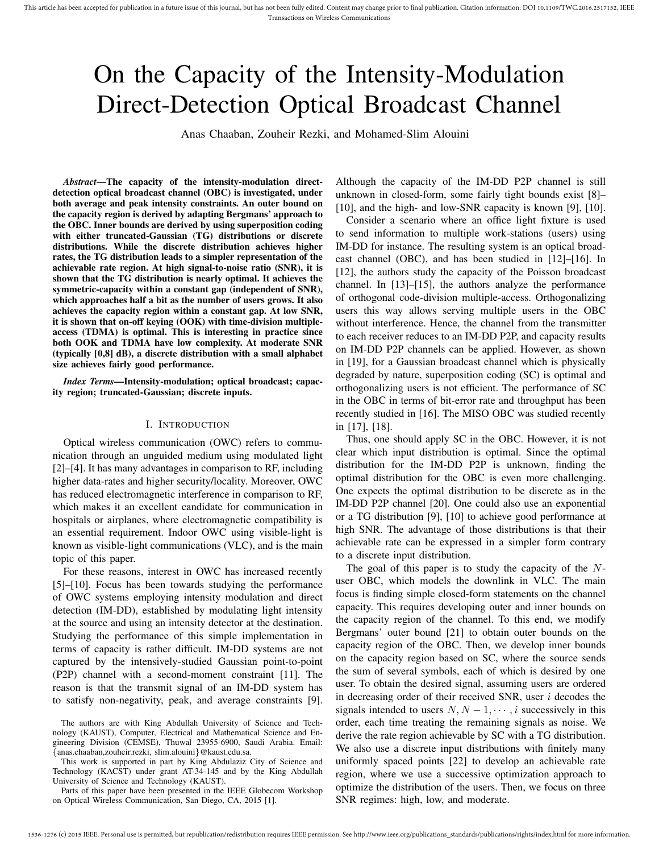# On the Capacity of the Intensity-Modulation Direct-Detection Optical Broadcast Channel

Anas Chaaban, Zouheir Rezki, and Mohamed-Slim Alouini

*Abstract*—The capacity of the intensity-modulation directdetection optical broadcast channel (OBC) is investigated, under both average and peak intensity constraints. An outer bound on the capacity region is derived by adapting Bergmans' approach to the OBC. Inner bounds are derived by using superposition coding with either truncated-Gaussian (TG) distributions or discrete distributions. While the discrete distribution achieves higher rates, the TG distribution leads to a simpler representation of the achievable rate region. At high signal-to-noise ratio (SNR), it is shown that the TG distribution is nearly optimal. It achieves the symmetric-capacity within a constant gap (independent of SNR), which approaches half a bit as the number of users grows. It also achieves the capacity region within a constant gap. At low SNR, it is shown that on-off keying (OOK) with time-division multipleaccess (TDMA) is optimal. This is interesting in practice since both OOK and TDMA have low complexity. At moderate SNR (typically [0,8] dB), a discrete distribution with a small alphabet size achieves fairly good performance.

*Index Terms*—Intensity-modulation; optical broadcast; capacity region; truncated-Gaussian; discrete inputs.

#### I. INTRODUCTION

Optical wireless communication (OWC) refers to communication through an unguided medium using modulated light [2]–[4]. It has many advantages in comparison to RF, including higher data-rates and higher security/locality. Moreover, OWC has reduced electromagnetic interference in comparison to RF, which makes it an excellent candidate for communication in hospitals or airplanes, where electromagnetic compatibility is an essential requirement. Indoor OWC using visible-light is known as visible-light communications (VLC), and is the main topic of this paper.

For these reasons, interest in OWC has increased recently [5]–[10]. Focus has been towards studying the performance of OWC systems employing intensity modulation and direct detection (IM-DD), established by modulating light intensity at the source and using an intensity detector at the destination. Studying the performance of this simple implementation in terms of capacity is rather difficult. IM-DD systems are not captured by the intensively-studied Gaussian point-to-point (P2P) channel with a second-moment constraint [11]. The reason is that the transmit signal of an IM-DD system has to satisfy non-negativity, peak, and average constraints [9].

Parts of this paper have been presented in the IEEE Globecom Workshop on Optical Wireless Communication, San Diego, CA, 2015 [1].

Although the capacity of the IM-DD P2P channel is still unknown in closed-form, some fairly tight bounds exist [8]– [10], and the high- and low-SNR capacity is known [9], [10].

Consider a scenario where an office light fixture is used to send information to multiple work-stations (users) using IM-DD for instance. The resulting system is an optical broadcast channel (OBC), and has been studied in [12]–[16]. In [12], the authors study the capacity of the Poisson broadcast channel. In [13]–[15], the authors analyze the performance of orthogonal code-division multiple-access. Orthogonalizing users this way allows serving multiple users in the OBC without interference. Hence, the channel from the transmitter to each receiver reduces to an IM-DD P2P, and capacity results on IM-DD P2P channels can be applied. However, as shown in [19], for a Gaussian broadcast channel which is physically degraded by nature, superposition coding (SC) is optimal and orthogonalizing users is not efficient. The performance of SC in the OBC in terms of bit-error rate and throughput has been recently studied in [16]. The MISO OBC was studied recently in [17], [18].

Thus, one should apply SC in the OBC. However, it is not clear which input distribution is optimal. Since the optimal distribution for the IM-DD P2P is unknown, finding the optimal distribution for the OBC is even more challenging. One expects the optimal distribution to be discrete as in the IM-DD P2P channel [20]. One could also use an exponential or a TG distribution [9], [10] to achieve good performance at high SNR. The advantage of those distributions is that their achievable rate can be expressed in a simpler form contrary to a discrete input distribution.

The goal of this paper is to study the capacity of the  $N$ user OBC, which models the downlink in VLC. The main focus is finding simple closed-form statements on the channel capacity. This requires developing outer and inner bounds on the capacity region of the channel. To this end, we modify Bergmans' outer bound [21] to obtain outer bounds on the capacity region of the OBC. Then, we develop inner bounds on the capacity region based on SC, where the source sends the sum of several symbols, each of which is desired by one user. To obtain the desired signal, assuming users are ordered in decreasing order of their received SNR, user  $i$  decodes the signals intended to users  $N, N - 1, \dots, i$  successively in this order, each time treating the remaining signals as noise. We derive the rate region achievable by SC with a TG distribution. We also use a discrete input distributions with finitely many uniformly spaced points [22] to develop an achievable rate region, where we use a successive optimization approach to optimize the distribution of the users. Then, we focus on three SNR regimes: high, low, and moderate.

The authors are with King Abdullah University of Science and Technology (KAUST), Computer, Electrical and Mathematical Science and Engineering Division (CEMSE), Thuwal 23955-6900, Saudi Arabia. Email: {anas.chaaban,zouheir.rezki, slim.alouini}@kaust.edu.sa.

This work is supported in part by King Abdulaziz City of Science and Technology (KACST) under grant AT-34-145 and by the King Abdullah University of Science and Technology (KAUST).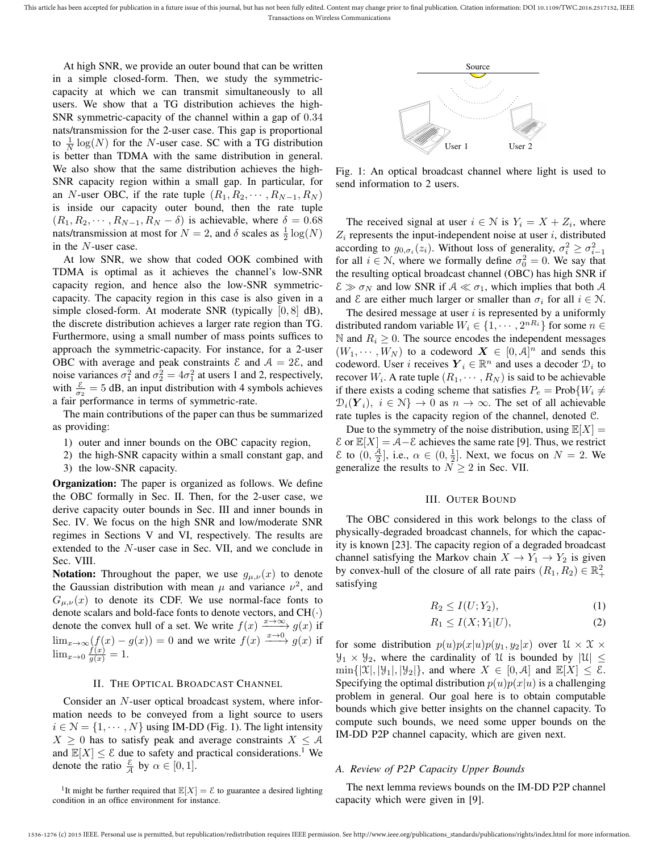At high SNR, we provide an outer bound that can be written in a simple closed-form. Then, we study the symmetriccapacity at which we can transmit simultaneously to all users. We show that a TG distribution achieves the high-SNR symmetric-capacity of the channel within a gap of 0.34 nats/transmission for the 2-user case. This gap is proportional to  $\frac{1}{N} \log(N)$  for the *N*-user case. SC with a TG distribution is better than TDMA with the same distribution in general. We also show that the same distribution achieves the high-SNR capacity region within a small gap. In particular, for an N-user OBC, if the rate tuple  $(R_1, R_2, \cdots, R_{N-1}, R_N)$ is inside our capacity outer bound, then the rate tuple  $(R_1, R_2, \cdots, R_{N-1}, R_N - \delta)$  is achievable, where  $\delta = 0.68$ nats/transmission at most for  $N = 2$ , and  $\delta$  scales as  $\frac{1}{2} \log(N)$ in the N-user case.

At low SNR, we show that coded OOK combined with TDMA is optimal as it achieves the channel's low-SNR capacity region, and hence also the low-SNR symmetriccapacity. The capacity region in this case is also given in a simple closed-form. At moderate SNR (typically [0, 8] dB), the discrete distribution achieves a larger rate region than TG. Furthermore, using a small number of mass points suffices to approach the symmetric-capacity. For instance, for a 2-user OBC with average and peak constraints  $\mathcal E$  and  $\mathcal A = 2\mathcal E$ , and noise variances  $\sigma_1^2$  and  $\sigma_2^2 = 4\sigma_1^2$  at users 1 and 2, respectively, with  $\frac{\varepsilon}{\sigma_2} = 5$  dB, an input distribution with 4 symbols achieves a fair performance in terms of symmetric-rate.

The main contributions of the paper can thus be summarized as providing:

- 1) outer and inner bounds on the OBC capacity region,
- 2) the high-SNR capacity within a small constant gap, and
- 3) the low-SNR capacity.

**Organization:** The paper is organized as follows. We define the OBC formally in Sec. II. Then, for the 2-user case, we derive capacity outer bounds in Sec. III and inner bounds in Sec. IV. We focus on the high SNR and low/moderate SNR regimes in Sections V and VI, respectively. The results are extended to the N-user case in Sec. VII, and we conclude in Sec. VIII.

**Notation:** Throughout the paper, we use  $g_{\mu,\nu}(x)$  to denote the Gaussian distribution with mean  $\mu$  and variance  $\nu^2$ , and  $G_{\mu,\nu}(x)$  to denote its CDF. We use normal-face fonts to denote scalars and bold-face fonts to denote vectors, and  $CH(\cdot)$ denote the convex hull of a set. We write  $f(x) \xrightarrow{x \to \infty} g(x)$  if  $\lim_{x\to\infty} (f(x) - g(x)) = 0$  and we write  $f(x) \xrightarrow{x\to 0} g(x)$  if  $\lim_{x\to 0}\frac{f(x)}{g(x)}=1.$ 

#### II. THE OPTICAL BROADCAST CHANNEL

Consider an N-user optical broadcast system, where information needs to be conveyed from a light source to users  $i \in \mathcal{N} = \{1, \dots, N\}$  using IM-DD (Fig. 1). The light intensity  $X \geq 0$  has to satisfy peak and average constraints  $X \leq A$ and  $\mathbb{E}[X] \leq \mathcal{E}$  due to safety and practical considerations.<sup>1</sup> We denote the ratio  $\frac{\varepsilon}{A}$  by  $\alpha \in [0, 1]$ .

<sup>1</sup>It might be further required that  $\mathbb{E}[X] = \mathcal{E}$  to guarantee a desired lighting condition in an office environment for instance.



Fig. 1: An optical broadcast channel where light is used to send information to 2 users.

The received signal at user  $i \in \mathcal{N}$  is  $Y_i = X + Z_i$ , where  $Z_i$  represents the input-independent noise at user i, distributed according to  $g_{0,\sigma_i}(z_i)$ . Without loss of generality,  $\sigma_i^2 \ge \sigma_{i-1}^2$ for all  $i \in \mathcal{N}$ , where we formally define  $\sigma_0^2 = 0$ . We say that the resulting optical broadcast channel (OBC) has high SNR if  $\mathcal{E} \gg \sigma_N$  and low SNR if  $\mathcal{A} \ll \sigma_1$ , which implies that both  $\mathcal{A}$ and  $\mathcal E$  are either much larger or smaller than  $\sigma_i$  for all  $i \in \mathcal N$ .

The desired message at user  $i$  is represented by a uniformly distributed random variable  $W_i \in \{1, \cdots, 2^{nR_i}\}\)$  for some  $n \in$  $\mathbb N$  and  $R_i ≥ 0$ . The source encodes the independent messages  $(W_1, \dots, W_N)$  to a codeword  $X \in [0, A]^n$  and sends this codeword. User i receives  $\boldsymbol{Y}_i \in \mathbb{R}^n$  and uses a decoder  $\mathcal{D}_i$  to recover  $W_i$ . A rate tuple  $(R_1, \dots, R_N)$  is said to be achievable if there exists a coding scheme that satisfies  $P_e = \text{Prob}\{W_i \neq$  $\mathcal{D}_i(\mathbf{Y}_i), i \in \mathcal{N} \rightarrow 0$  as  $n \rightarrow \infty$ . The set of all achievable rate tuples is the capacity region of the channel, denoted C.

Due to the symmetry of the noise distribution, using  $\mathbb{E}[X] =$  $\mathcal{E}$  or  $\mathbb{E}[X] = \mathcal{A} - \mathcal{E}$  achieves the same rate [9]. Thus, we restrict  $\&$  to  $(0, \frac{\mathcal{A}}{2}]$ , i.e.,  $\alpha \in (0, \frac{1}{2}]$ . Next, we focus on  $N = 2$ . We generalize the results to  $N \geq 2$  in Sec. VII.

#### III. OUTER BOUND

The OBC considered in this work belongs to the class of physically-degraded broadcast channels, for which the capacity is known [23]. The capacity region of a degraded broadcast channel satisfying the Markov chain  $X \to Y_1 \to Y_2$  is given by convex-hull of the closure of all rate pairs  $(R_1, R_2) \in \mathbb{R}_+^2$ satisfying

$$
R_2 \le I(U;Y_2),\tag{1}
$$

$$
R_1 \le I(X; Y_1 | U),\tag{2}
$$

for some distribution  $p(u)p(x|u)p(y_1, y_2|x)$  over  $\mathcal{U} \times \mathcal{X} \times$  $\mathcal{Y}_1 \times \mathcal{Y}_2$ , where the cardinality of U is bounded by  $|\mathcal{U}| \leq$  $\min\{|\mathfrak{X}|, |\mathfrak{Y}_1|, |\mathfrak{Y}_2|\}$ , and where  $X \in [0, \mathcal{A}]$  and  $\mathbb{E}[X] \leq \mathcal{E}$ . Specifying the optimal distribution  $p(u)p(x|u)$  is a challenging problem in general. Our goal here is to obtain computable bounds which give better insights on the channel capacity. To compute such bounds, we need some upper bounds on the IM-DD P2P channel capacity, which are given next.

## *A. Review of P2P Capacity Upper Bounds*

The next lemma reviews bounds on the IM-DD P2P channel capacity which were given in [9].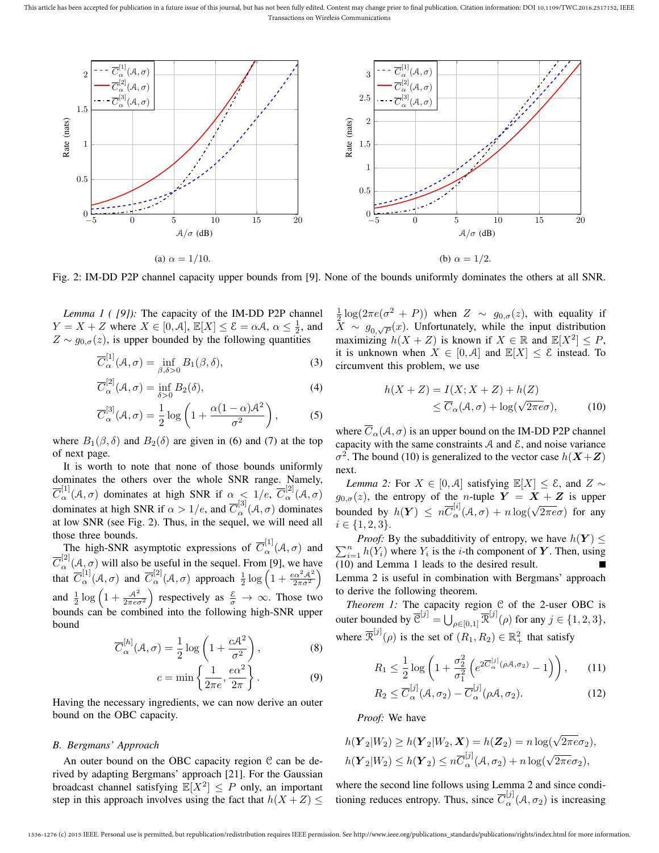This article has been accepted for publication in a future issue of this journal, but has not been fully edited. Content may change prior to final publication. Citation information: DOI 10.1109/TWC.2016.2517152, IEEE Transactions on Wireless Communications



Fig. 2: IM-DD P2P channel capacity upper bounds from [9]. None of the bounds uniformly dominates the others at all SNR.

*Lemma 1 ( [9]):* The capacity of the IM-DD P2P channel  $Y = X + Z$  where  $X \in [0, A]$ ,  $\mathbb{E}[X] \le \mathcal{E} = \alpha \mathcal{A}, \alpha \le \frac{1}{2}$ , and  $Z \sim g_{0,\sigma}(z)$ , is upper bounded by the following quantities

$$
\overline{C}_{\alpha}^{[1]}(\mathcal{A}, \sigma) = \inf_{\beta, \delta > 0} B_1(\beta, \delta), \tag{3}
$$

$$
\overline{C}_{\alpha}^{[2]}(\mathcal{A}, \sigma) = \inf_{\delta > 0} B_2(\delta), \tag{4}
$$

$$
\overline{C}_{\alpha}^{[3]}(\mathcal{A}, \sigma) = \frac{1}{2} \log \left( 1 + \frac{\alpha (1 - \alpha) \mathcal{A}^2}{\sigma^2} \right), \tag{5}
$$

where  $B_1(\beta, \delta)$  and  $B_2(\delta)$  are given in (6) and (7) at the top of next page.

It is worth to note that none of those bounds uniformly dominates the others over the whole SNR range. Namely,  $\overline{C}_{\alpha}^{[1]}(A,\sigma)$  dominates at high SNR if  $\alpha \leq 1/e$ ,  $\overline{C}_{\alpha}^{[2]}(A,\sigma)$ dominates at high SNR if  $\alpha > 1/e$ , and  $\overline{C}_{\alpha}^{[3]}(A,\sigma)$  dominates at low SNR (see Fig. 2). Thus, in the sequel, we will need all those three bounds.

The high-SNR asymptotic expressions of  $\overline{C}_{\alpha}^{[1]}(A,\sigma)$  and  $\overline{C}_{\alpha}^{[2]}(\mathcal{A}, \sigma)$  will also be useful in the sequel. From [9], we have that  $\overline{C}_{\alpha}^{[1]}(A,\sigma)$  and  $\overline{C}_{\alpha}^{[2]}(A,\sigma)$  approach  $\frac{1}{2}\log\left(1+\frac{e\alpha^{2}A^{2}}{2\pi\sigma^{2}}\right)$ and  $\frac{1}{2} \log \left( 1 + \frac{A^2}{2\pi \epsilon \sigma^2} \right)$  respectively as  $\frac{\varepsilon}{\sigma} \to \infty$ . Those two bounds can be combined into the following high-SNR upper bound

$$
\overline{C}_{\alpha}^{[h]}(\mathcal{A}, \sigma) = \frac{1}{2} \log \left( 1 + \frac{c \mathcal{A}^2}{\sigma^2} \right),\tag{8}
$$

$$
c = \min\left\{\frac{1}{2\pi e}, \frac{e\alpha^2}{2\pi}\right\}.
$$
 (9)

Having the necessary ingredients, we can now derive an outer bound on the OBC capacity.

## *B. Bergmans' Approach*

An outer bound on the OBC capacity region  $\mathcal C$  can be derived by adapting Bergmans' approach [21]. For the Gaussian broadcast channel satisfying  $\mathbb{E}[X^2] \leq P$  only, an important step in this approach involves using the fact that  $h(X+Z) \leq$ 

 $\frac{1}{2} \log(2\pi e(\sigma^2 + P))$  when  $Z \sim g_{0,\sigma}(z)$ , with equality if  $X \sim g_{0,\sqrt{P}}(x)$ . Unfortunately, while the input distribution maximizing  $h(X + Z)$  is known if  $X \in \mathbb{R}$  and  $\mathbb{E}[X^2] \leq P$ , it is unknown when  $X \in [0, \mathcal{A}]$  and  $\mathbb{E}[X] \leq \mathcal{E}$  instead. To circumvent this problem, we use

$$
h(X+Z) = I(X; X+Z) + h(Z)
$$
  
\n
$$
\leq \overline{C}_{\alpha}(\mathcal{A}, \sigma) + \log(\sqrt{2\pi e}\sigma),
$$
 (10)

where  $\overline{C}_{\alpha}(A,\sigma)$  is an upper bound on the IM-DD P2P channel capacity with the same constraints  $A$  and  $E$ , and noise variance  $\sigma^2$ . The bound (10) is generalized to the vector case  $h(X+Z)$ next.

*Lemma 2:* For  $X \in [0, \mathcal{A}]$  satisfying  $\mathbb{E}[X] \leq \mathcal{E}$ , and  $Z \sim$  $g_{0,\sigma}(z)$ , the entropy of the *n*-tuple  $Y = X + Z$  is upper bounded by  $h(Y) \leq n \overline{C}_{\alpha}^{[i]}(A,\sigma) + n \log(\sqrt{2\pi}e\sigma)$  for any  $i \in \{1, 2, 3\}.$ 

 $\sum_{i=1}^{n} h(Y_i)$  where  $Y_i$  is the *i*-th component of **Y**. Then, using *Proof:* By the subadditivity of entropy, we have  $h(Y) \leq$ (10) and Lemma 1 leads to the desired result. Lemma 2 is useful in combination with Bergmans' approach to derive the following theorem.

*Theorem 1:* The capacity region C of the 2-user OBC is outer bounded by  $\overline{\mathcal{C}}^{[j]} = \bigcup_{\rho \in [0,1]} \overline{\mathcal{R}}^{[j]}(\rho)$  for any  $j \in \{1,2,3\},\$ where  $\overline{\mathcal{R}}^{[j]}(\rho)$  is the set of  $(R_1, R_2) \in \mathbb{R}^2_+$  that satisfy

$$
R_1 \le \frac{1}{2} \log \left( 1 + \frac{\sigma_2^2}{\sigma_1^2} \left( e^{2 \overline{C}_\alpha^{[j]}(\rho \mathcal{A}, \sigma_2)} - 1 \right) \right), \qquad (11)
$$

$$
R_2 \le \overline{C}_{\alpha}^{[j]}(\mathcal{A}, \sigma_2) - \overline{C}_{\alpha}^{[j]}(\rho \mathcal{A}, \sigma_2). \tag{12}
$$

*Proof:* We have

$$
h(\mathbf{Y}_2|W_2) \ge h(\mathbf{Y}_2|W_2, \mathbf{X}) = h(\mathbf{Z}_2) = n \log(\sqrt{2\pi e} \sigma_2),
$$
  

$$
h(\mathbf{Y}_2|W_2) \le h(\mathbf{Y}_2) \le n \overline{C}_{\alpha}^{[j]}(\mathcal{A}, \sigma_2) + n \log(\sqrt{2\pi e} \sigma_2),
$$

where the second line follows using Lemma 2 and since conditioning reduces entropy. Thus, since  $\overline{C}_{\alpha}^{[j]}(A, \sigma_2)$  is increasing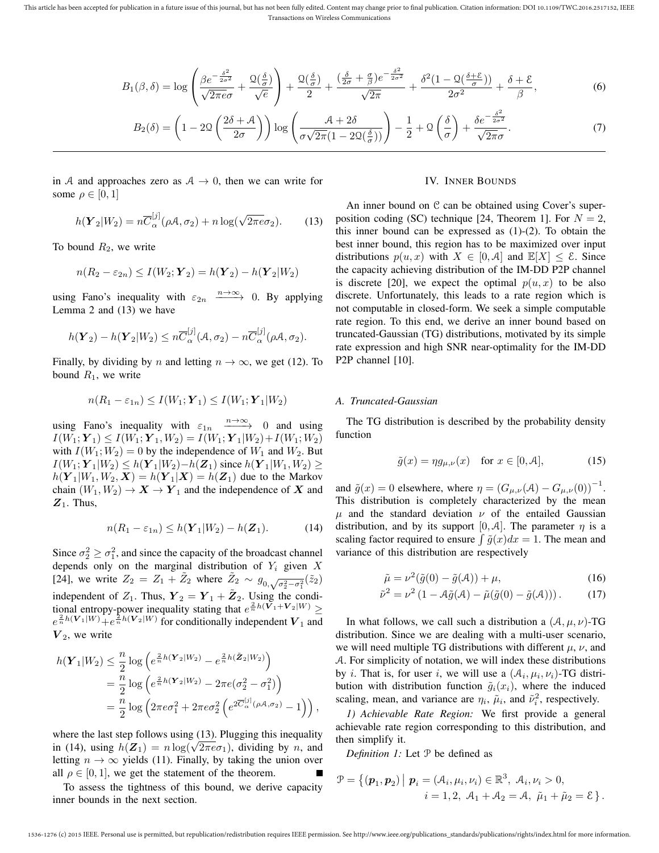This article has been accepted for publication in a future issue of this journal, but has not been fully edited. Content may change prior to final publication. Citation information: DOI 10.1109/TWC.2016.2517152, IEEE Transactions on Wireless Communications

$$
B_1(\beta,\delta) = \log \left( \frac{\beta e^{-\frac{\delta^2}{2\sigma^2}}}{\sqrt{2\pi e}\sigma} + \frac{\mathcal{Q}(\frac{\delta}{\sigma})}{\sqrt{e}} \right) + \frac{\mathcal{Q}(\frac{\delta}{\sigma})}{2} + \frac{(\frac{\delta}{2\sigma} + \frac{\sigma}{\beta})e^{-\frac{\delta^2}{2\sigma^2}}}{\sqrt{2\pi}} + \frac{\delta^2 (1 - \mathcal{Q}(\frac{\delta + \mathcal{E}}{\sigma}))}{2\sigma^2} + \frac{\delta + \mathcal{E}}{\beta},\tag{6}
$$

$$
B_2(\delta) = \left(1 - 2\mathcal{Q}\left(\frac{2\delta + \mathcal{A}}{2\sigma}\right)\right) \log\left(\frac{\mathcal{A} + 2\delta}{\sigma\sqrt{2\pi}(1 - 2\mathcal{Q}(\frac{\delta}{\sigma}))}\right) - \frac{1}{2} + \mathcal{Q}\left(\frac{\delta}{\sigma}\right) + \frac{\delta e^{-\frac{\delta^2}{2\sigma^2}}}{\sqrt{2\pi}\sigma}.
$$
\n(7)

in A and approaches zero as  $A \rightarrow 0$ , then we can write for some  $\rho \in [0, 1]$ 

$$
h(\mathbf{Y}_2|W_2) = n\overline{C}_{\alpha}^{[j]}(\rho \mathcal{A}, \sigma_2) + n \log(\sqrt{2\pi e} \sigma_2). \tag{13}
$$

To bound  $R_2$ , we write

$$
n(R_2 - \varepsilon_{2n}) \le I(W_2; \boldsymbol{Y}_2) = h(\boldsymbol{Y}_2) - h(\boldsymbol{Y}_2|W_2)
$$

using Fano's inequality with  $\varepsilon_{2n} \xrightarrow{n \to \infty} 0$ . By applying Lemma 2 and (13) we have

$$
h(\boldsymbol{Y}_2) - h(\boldsymbol{Y}_2|W_2) \leq n \overline{C}_{\alpha}^{[j]}(\mathcal{A}, \sigma_2) - n \overline{C}_{\alpha}^{[j]}(\rho \mathcal{A}, \sigma_2).
$$

Finally, by dividing by n and letting  $n \to \infty$ , we get (12). To bound  $R_1$ , we write

$$
n(R_1 - \varepsilon_{1n}) \le I(W_1; \boldsymbol{Y}_1) \le I(W_1; \boldsymbol{Y}_1 | W_2)
$$

using Fano's inequality with  $\varepsilon_{1n} \xrightarrow{n \to \infty} 0$  and using  $I(W_1; Y_1) \leq I(W_1; Y_1, W_2) = I(W_1; Y_1 | W_2) + I(W_1; W_2)$ with  $I(W_1; W_2) = 0$  by the independence of  $W_1$  and  $W_2$ . But  $I(W_1; Y_1|W_2) \leq h(Y_1|W_2) - h(Z_1)$  since  $h(Y_1|W_1, W_2) \geq$  $h(Y_1|W_1, W_2, X) = h(Y_1|X) = h(Z_1)$  due to the Markov chain  $(W_1, W_2) \rightarrow X \rightarrow Y_1$  and the independence of X and  $Z_1$ . Thus,

$$
n(R_1 - \varepsilon_{1n}) \le h(\mathbf{Y}_1 | W_2) - h(\mathbf{Z}_1). \tag{14}
$$

Since  $\sigma_2^2 \geq \sigma_1^2$ , and since the capacity of the broadcast channel depends only on the marginal distribution of  $Y_i$  given X [24], we write  $Z_2 = Z_1 + \tilde{Z}_2$  where  $\tilde{Z}_2 \sim g_{0,\sqrt{\sigma_2^2 - \sigma_1^2}}(\tilde{z}_2)$ independent of  $Z_1$ . Thus,  $\boldsymbol{Y}_2 = \boldsymbol{Y}_1 + \tilde{\boldsymbol{Z}}_2$ . Using the conditional entropy-power inequality stating that  $e^{\frac{2}{n}h(\vec{V}_1 + \vec{V}_2|W)} \geq$  $e^{\frac{2}{n}h(V_1|W)}+e^{\frac{2}{n}h(V_2|W)}$  for conditionally independent  $V_1$  and  $V_2$ , we write

$$
h(\mathbf{Y}_1|W_2) \leq \frac{n}{2} \log \left( e^{\frac{2}{n}h(\mathbf{Y}_2|W_2)} - e^{\frac{2}{n}h(\tilde{\mathbf{Z}}_2|W_2)} \right)
$$
  
=  $\frac{n}{2} \log \left( e^{\frac{2}{n}h(\mathbf{Y}_2|W_2)} - 2\pi e(\sigma_2^2 - \sigma_1^2) \right)$   
=  $\frac{n}{2} \log \left( 2\pi e \sigma_1^2 + 2\pi e \sigma_2^2 \left( e^{2\overline{C}_{\alpha}^{[j]}(\rho A, \sigma_2)} - 1 \right) \right),$ 

where the last step follows using (13). Plugging this inequality where the last step follows using (13). Plugging this inequality<br>in (14), using  $h(Z_1) = n \log(\sqrt{2\pi e \sigma_1})$ , dividing by n, and letting  $n \to \infty$  yields (11). Finally, by taking the union over all  $\rho \in [0, 1]$ , we get the statement of the theorem.

To assess the tightness of this bound, we derive capacity inner bounds in the next section.

#### IV. INNER BOUNDS

An inner bound on  $C$  can be obtained using Cover's superposition coding (SC) technique [24, Theorem 1]. For  $N = 2$ , this inner bound can be expressed as (1)-(2). To obtain the best inner bound, this region has to be maximized over input distributions  $p(u, x)$  with  $X \in [0, \mathcal{A}]$  and  $\mathbb{E}[X] \leq \mathcal{E}$ . Since the capacity achieving distribution of the IM-DD P2P channel is discrete [20], we expect the optimal  $p(u, x)$  to be also discrete. Unfortunately, this leads to a rate region which is not computable in closed-form. We seek a simple computable rate region. To this end, we derive an inner bound based on truncated-Gaussian (TG) distributions, motivated by its simple rate expression and high SNR near-optimality for the IM-DD P2P channel [10].

#### *A. Truncated-Gaussian*

The TG distribution is described by the probability density function

$$
\tilde{g}(x) = \eta g_{\mu,\nu}(x) \quad \text{for } x \in [0, \mathcal{A}], \tag{15}
$$

and  $\tilde{g}(x) = 0$  elsewhere, where  $\eta = (G_{\mu,\nu}(\mathcal{A}) - G_{\mu,\nu}(0))^{-1}$ . This distribution is completely characterized by the mean  $\mu$  and the standard deviation  $\nu$  of the entailed Gaussian distribution, and by its support [0, A]. The parameter  $\eta$  is a scaling factor required to ensure  $\int \tilde{g}(x)dx = 1$ . The mean and variance of this distribution are respectively

$$
\tilde{\mu} = \nu^2(\tilde{g}(0) - \tilde{g}(\mathcal{A})) + \mu,\tag{16}
$$

$$
\tilde{\nu}^2 = \nu^2 \left( 1 - \mathcal{A}\tilde{g}(\mathcal{A}) - \tilde{\mu}(\tilde{g}(0) - \tilde{g}(\mathcal{A})) \right). \tag{17}
$$

In what follows, we call such a distribution a  $(A, \mu, \nu)$ -TG distribution. Since we are dealing with a multi-user scenario, we will need multiple TG distributions with different  $\mu$ ,  $\nu$ , and A. For simplicity of notation, we will index these distributions by *i*. That is, for user *i*, we will use a  $(A_i, \mu_i, \nu_i)$ -TG distribution with distribution function  $\tilde{g}_i(x_i)$ , where the induced scaling, mean, and variance are  $\eta_i$ ,  $\tilde{\mu}_i$ , and  $\tilde{\nu}_i^2$ , respectively.

*1) Achievable Rate Region:* We first provide a general achievable rate region corresponding to this distribution, and then simplify it.

*Definition 1:* Let  $P$  be defined as

$$
\mathcal{P} = \{(\boldsymbol{p}_1, \boldsymbol{p}_2) \mid \boldsymbol{p}_i = (\mathcal{A}_i, \mu_i, \nu_i) \in \mathbb{R}^3, \ \mathcal{A}_i, \nu_i > 0, \n i = 1, 2, \ \mathcal{A}_1 + \mathcal{A}_2 = \mathcal{A}, \ \tilde{\mu}_1 + \tilde{\mu}_2 = \mathcal{E} \}.
$$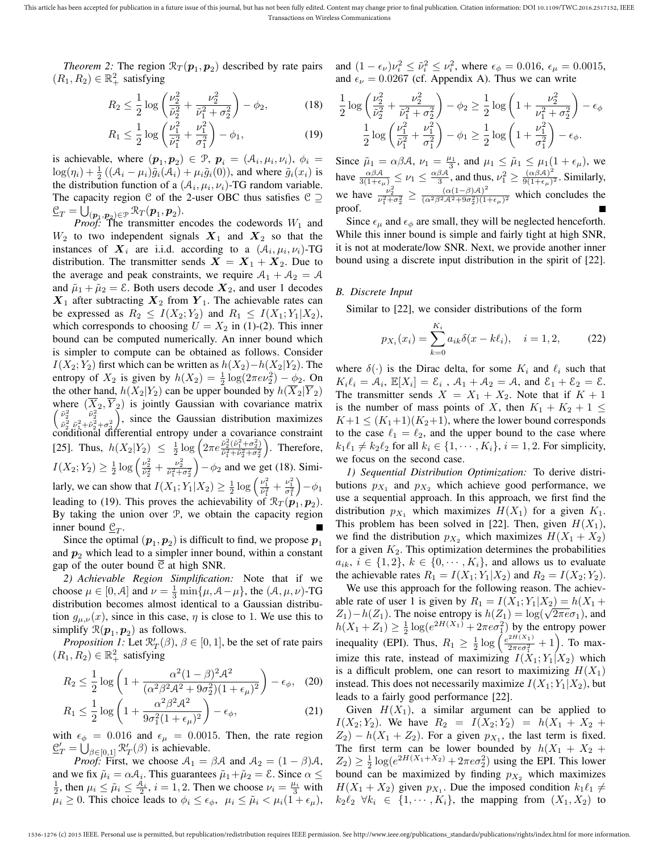*Theorem 2:* The region  $\mathcal{R}_T(\boldsymbol{p}_1, \boldsymbol{p}_2)$  described by rate pairs  $(R_1, R_2) \in \mathbb{R}^2_+$  satisfying

$$
R_2 \le \frac{1}{2} \log \left( \frac{\nu_2^2}{\tilde{\nu}_2^2} + \frac{\nu_2^2}{\tilde{\nu}_1^2 + \sigma_2^2} \right) - \phi_2, \tag{18}
$$

$$
R_1 \le \frac{1}{2} \log \left( \frac{\nu_1^2}{\tilde{\nu}_1^2} + \frac{\nu_1^2}{\sigma_1^2} \right) - \phi_1,\tag{19}
$$

is achievable, where  $(p_1, p_2) \in \mathcal{P}$ ,  $p_i = (\mathcal{A}_i, \mu_i, \nu_i)$ ,  $\phi_i =$  $log(\eta_i) + \frac{1}{2} ((A_i - \mu_i)\tilde{g}_i(A_i) + \mu_i \tilde{g}_i(0)),$  and where  $\tilde{g}_i(x_i)$  is the distribution function of a  $(A_i, \mu_i, \nu_i)$ -TG random variable. The capacity region C of the 2-user OBC thus satisfies  $C \supseteq$  $\underline{\mathfrak{C}}_T = \bigcup_{(\boldsymbol{p}_1,\boldsymbol{p}_2)\in\mathcal{P}} \mathfrak{R}_T(\boldsymbol{p}_1,\boldsymbol{p}_2).$ 

*Proof:* The transmitter encodes the codewords  $W_1$  and  $W_2$  to two independent signals  $X_1$  and  $X_2$  so that the instances of  $X_i$  are i.i.d. according to a  $(\mathcal{A}_i, \mu_i, \nu_i)$ -TG distribution. The transmitter sends  $X = X_1 + X_2$ . Due to the average and peak constraints, we require  $A_1 + A_2 = A$ and  $\tilde{\mu}_1 + \tilde{\mu}_2 = \mathcal{E}$ . Both users decode  $\mathbf{X}_2$ , and user 1 decodes  $X_1$  after subtracting  $X_2$  from  $Y_1$ . The achievable rates can be expressed as  $R_2 \leq I(X_2; Y_2)$  and  $R_1 \leq I(X_1; Y_1 | X_2)$ , which corresponds to choosing  $U = X_2$  in (1)-(2). This inner bound can be computed numerically. An inner bound which is simpler to compute can be obtained as follows. Consider  $I(X_2; Y_2)$  first which can be written as  $h(X_2) - h(X_2|Y_2)$ . The entropy of  $X_2$  is given by  $h(X_2) = \frac{1}{2} \log(2\pi e \nu_2^2) - \frac{\phi_2}{2}$ . On the other hand,  $h(X_2|Y_2)$  can be upper bounded by  $h(\overline{X}_2|\overline{Y}_2)$ where  $(\overline{X}_2, \overline{Y}_2)$  is jointly Gaussian with covariance matrix  $\begin{pmatrix} \tilde{\nu}_{2}^{2} & \tilde{\nu}_{2}^{2} \\ \tilde{\nu}_{2}^{2} & \tilde{\nu}_{1}^{2} + \tilde{\nu}_{2}^{2} + \sigma_{2}^{2} \end{pmatrix}$  , since the Gaussian distribution maximizes conditional differential entropy under a covariance constraint [25]. Thus,  $h(X_2|Y_2) \leq \frac{1}{2} \log \left( 2 \pi e \frac{\tilde{\nu}_2^2 (\tilde{\nu}_1^2 + \sigma_2^2)}{\tilde{\nu}_1^2 + \tilde{\nu}_2^2 + \sigma_2^2} \right)$  $\tilde{\nu}_1^2 + \tilde{\nu}_2^2 + \sigma_2^2$  . Therefore,  $I(X_2; Y_2) \geq \frac{1}{2} \log \left( \frac{\nu_2^2}{\tilde{\nu}_2^2} + \frac{\nu_2^2}{\tilde{\nu}_1^2 + \sigma_2^2} \right)$  $(-\phi_2 \text{ and we get } (18)$ . Similarly, we can show that  $I(X_1; Y_1 | X_2) \ge \frac{1}{2} \log \left( \frac{\nu_1^2}{\tilde{\nu}_1^2} + \frac{\nu_1^2}{\sigma_1^2} \right)$  $-\phi_1$ leading to (19). This proves the achievability of  $\mathcal{R}_T(\boldsymbol{p}_1, \boldsymbol{p}_2)$ . By taking the union over P, we obtain the capacity region inner bound  $\underline{\mathcal{C}}_T$ .

Since the optimal  $(p_1, p_2)$  is difficult to find, we propose  $p_1$ and  $p_2$  which lead to a simpler inner bound, within a constant gap of the outer bound C at high SNR.

*2) Achievable Region Simplification:* Note that if we choose  $\mu \in [0, \mathcal{A}]$  and  $\nu = \frac{1}{3} \min{\{\mu, \mathcal{A} - \mu\}}$ , the  $(\mathcal{A}, \mu, \nu)$ -TG distribution becomes almost identical to a Gaussian distribution  $g_{\mu,\nu}(x)$ , since in this case,  $\eta$  is close to 1. We use this to simplify  $\mathcal{R}(\boldsymbol{p}_1, \boldsymbol{p}_2)$  as follows.

*Proposition 1:* Let  $\mathcal{R}'_T(\beta)$ ,  $\beta \in [0, 1]$ , be the set of rate pairs  $(R_1, R_2) \in \mathbb{R}^2_+$  satisfying

$$
R_2 \le \frac{1}{2} \log \left( 1 + \frac{\alpha^2 (1 - \beta)^2 \mathcal{A}^2}{(\alpha^2 \beta^2 \mathcal{A}^2 + 9\sigma_2^2)(1 + \epsilon_\mu)^2} \right) - \epsilon_\phi, \quad (20)
$$

$$
R_1 \le \frac{1}{2} \log \left( 1 + \frac{\alpha^2 \beta^2 A^2}{9\sigma_1^2 (1 + \epsilon_\mu)^2} \right) - \epsilon_\phi,
$$
\n(21)

with  $\epsilon_{\phi} = 0.016$  and  $\epsilon_{\mu} = 0.0015$ . Then, the rate region  $\underline{\mathcal{C}}'_T = \bigcup_{\beta \in [0,1]} \mathcal{R}'_T(\beta)$  is achievable.

*Proof:* First, we choose  $A_1 = \beta A$  and  $A_2 = (1 - \beta)A$ , and we fix  $\tilde{\mu}_i = \alpha A_i$ . This guarantees  $\tilde{\mu}_1 + \tilde{\mu}_2 = \varepsilon$ . Since  $\alpha \leq$  $\frac{1}{2}$ , then  $\mu_i \leq \tilde{\mu}_i \leq \frac{\mathcal{A}_i}{2}$ ,  $i = 1, 2$ . Then we choose  $\nu_i = \frac{\mu_i}{3}$  with  $\mu_i \geq 0$ . This choice leads to  $\phi_i \leq \epsilon_{\phi}$ ,  $\mu_i \leq \tilde{\mu}_i < \mu_i(1 + \epsilon_{\mu})$ , and  $(1 - \epsilon_{\nu})\nu_i^2 \leq \tilde{\nu}_i^2 \leq \nu_i^2$ , where  $\epsilon_{\phi} = 0.016$ ,  $\epsilon_{\mu} = 0.0015$ , and  $\epsilon_{\nu} = 0.0267$  (cf. Appendix A). Thus we can write

$$
\frac{1}{2} \log \left( \frac{\nu_2^2}{\tilde \nu_2^2} + \frac{\nu_2^2}{\tilde \nu_1^2 + \sigma_2^2} \right) - \phi_2 \ge \frac{1}{2} \log \left( 1 + \frac{\nu_2^2}{\nu_1^2 + \sigma_2^2} \right) - \epsilon_{\phi} \n\frac{1}{2} \log \left( \frac{\nu_1^2}{\tilde \nu_1^2} + \frac{\nu_1^2}{\sigma_1^2} \right) - \phi_1 \ge \frac{1}{2} \log \left( 1 + \frac{\nu_1^2}{\sigma_1^2} \right) - \epsilon_{\phi}.
$$

Since  $\tilde{\mu}_1 = \alpha \beta \mathcal{A}$ ,  $\nu_1 = \frac{\mu_1}{3}$ , and  $\mu_1 \leq \tilde{\mu}_1 \leq \mu_1 (1 + \epsilon_{\mu})$ , we have  $\frac{\alpha\beta\mathcal{A}}{3(1+\epsilon_{\mu})} \leq \nu_1 \leq \frac{\alpha\beta\mathcal{A}}{3}$ , and thus,  $\nu_1^2 \geq \frac{(\alpha\beta\mathcal{A})^2}{9(1+\epsilon_{\mu})}$  $\frac{(\alpha \beta \mathcal{A})}{9(1+\epsilon_{\mu})^2}$ . Similarly, we have  $\frac{\nu_2^2}{\nu_1^2 + \sigma_2^2} \ge \frac{(\alpha(1-\beta)A)^2}{(\alpha^2 \beta^2 A^2 + 9\sigma_2^2)(1-\beta^2)}$  $\frac{(\alpha(1-\beta)\mathcal{A})}{(\alpha^2\beta^2\mathcal{A}^2+9\sigma_2^2)(1+\epsilon_\mu)^2}$  which concludes the proof.

Since  $\epsilon_{\mu}$  and  $\epsilon_{\phi}$  are small, they will be neglected henceforth. While this inner bound is simple and fairly tight at high SNR, it is not at moderate/low SNR. Next, we provide another inner bound using a discrete input distribution in the spirit of [22].

#### *B. Discrete Input*

Similar to [22], we consider distributions of the form

$$
p_{X_i}(x_i) = \sum_{k=0}^{K_i} a_{ik} \delta(x - k\ell_i), \quad i = 1, 2,
$$
 (22)

where  $\delta(\cdot)$  is the Dirac delta, for some  $K_i$  and  $\ell_i$  such that  $K_i\ell_i = \mathcal{A}_i, \ \mathbb{E}[X_i] = \mathcal{E}_i$ ,  $\mathcal{A}_1 + \mathcal{A}_2 = \mathcal{A}$ , and  $\mathcal{E}_1 + \mathcal{E}_2 = \mathcal{E}$ . The transmitter sends  $X = X_1 + X_2$ . Note that if  $K + 1$ is the number of mass points of X, then  $K_1 + K_2 + 1 \leq$  $K+1 \leq (K_1+1)(K_2+1)$ , where the lower bound corresponds to the case  $\ell_1 = \ell_2$ , and the upper bound to the case where  $k_1\ell_1 \neq k_2\ell_2$  for all  $k_i \in \{1, \cdots, K_i\}$ ,  $i = 1, 2$ . For simplicity, we focus on the second case.

*1) Sequential Distribution Optimization:* To derive distributions  $p_{X_1}$  and  $p_{X_2}$  which achieve good performance, we use a sequential approach. In this approach, we first find the distribution  $p_{X_1}$  which maximizes  $H(X_1)$  for a given  $K_1$ . This problem has been solved in [22]. Then, given  $H(X_1)$ , we find the distribution  $p_{X_2}$  which maximizes  $H(X_1 + X_2)$ for a given  $K_2$ . This optimization determines the probabilities  $a_{ik}, i \in \{1,2\}, k \in \{0, \cdots, K_i\}$ , and allows us to evaluate the achievable rates  $R_1 = I(X_1; Y_1 | X_2)$  and  $R_2 = I(X_2; Y_2)$ .

We use this approach for the following reason. The achievable rate of user 1 is given by  $R_1 = I(X_1; Y_1 | X_2) = h(X_1 +$ able rate of user 1 is given by  $R_1 = I(X_1; Y_1 | X_2) = n(X_1 + Z_1) - h(Z_1)$ . The noise entropy is  $h(Z_1) = \log(\sqrt{2\pi}e\sigma_1)$ , and  $h(X_1 + Z_1) \ge \frac{1}{2} \log(e^{2H(X_1)} + 2\pi e \sigma_1^2)$  by the entropy power inequality (EPI). Thus,  $R_1 \geq \frac{1}{2} \log \left( \frac{e^{2H(X_1)}}{2\pi \epsilon \sigma_1^2} \right)$  $\frac{2H(X_1)}{2\pi e \sigma_1^2} + 1$ ). To maximize this rate, instead of maximizing  $I(X_1; Y_1|X_2)$  which is a difficult problem, one can resort to maximizing  $H(X_1)$ instead. This does not necessarily maximize  $I(X_1; Y_1|X_2)$ , but leads to a fairly good performance [22].

Given  $H(X_1)$ , a similar argument can be applied to  $I(X_2; Y_2)$ . We have  $R_2 = I(X_2; Y_2) = h(X_1 + X_2 +$  $Z_2$ ) –  $h(X_1 + Z_2)$ . For a given  $p_{X_1}$ , the last term is fixed. The first term can be lower bounded by  $h(X_1 + X_2 +$  $Z_2$ )  $\geq \frac{1}{2} \log(e^{2H(X_1+X_2)} + 2\pi e \sigma_2^2)$  using the EPI. This lower bound can be maximized by finding  $p_{X_2}$  which maximizes  $H(X_1 + X_2)$  given  $p_{X_1}$ . Due the imposed condition  $k_1 \ell_1 \neq$  $k_2\ell_2 \forall k_i \in \{1, \cdots, K_i\}$ , the mapping from  $(X_1, X_2)$  to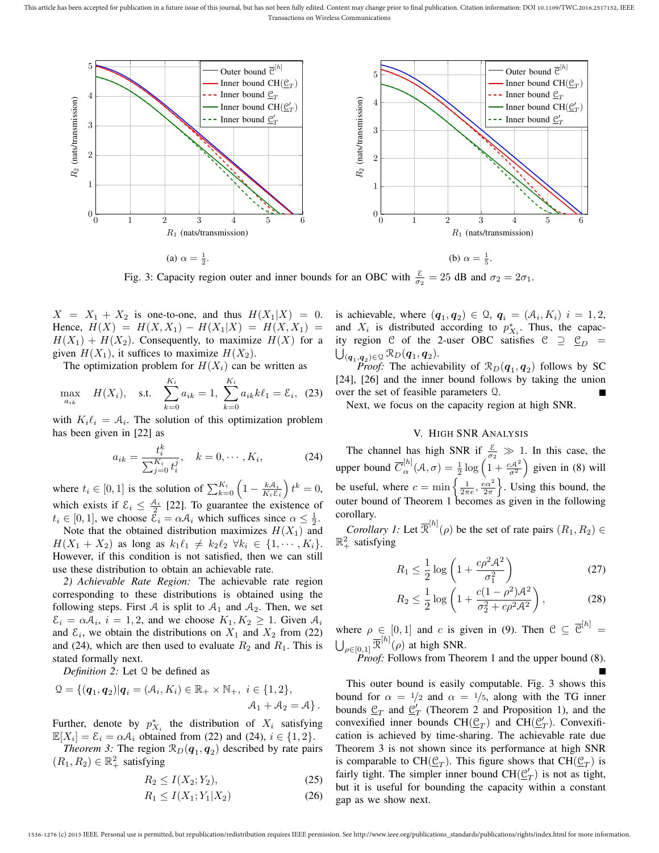This article has been accepted for publication in a future issue of this journal, but has not been fully edited. Content may change prior to final publication. Citation information: DOI 10.1109/TWC.2016.2517152, IEEE Transactions on Wireless Communications



(a)  $\alpha = \frac{1}{2}$ .

Fig. 3: Capacity region outer and inner bounds for an OBC with  $\frac{\varepsilon}{\sigma_2} = 25$  dB and  $\sigma_2 = 2\sigma_1$ .

 $X = X_1 + X_2$  is one-to-one, and thus  $H(X_1|X) = 0$ . Hence,  $H(X) = H(X, X_1) - H(X_1|X) = H(X, X_1) =$  $H(X_1) + H(X_2)$ . Consequently, to maximize  $H(X)$  for a given  $H(X_1)$ , it suffices to maximize  $H(X_2)$ .

The optimization problem for  $H(X_i)$  can be written as

$$
\max_{a_{ik}} \quad H(X_i), \quad \text{s.t.} \quad \sum_{k=0}^{K_i} a_{ik} = 1, \ \sum_{k=0}^{K_i} a_{ik} k \ell_1 = \mathcal{E}_i, \tag{23}
$$

with  $K_i \ell_i = A_i$ . The solution of this optimization problem has been given in [22] as

$$
a_{ik} = \frac{t_i^k}{\sum_{j=0}^{K_i} t_i^j}, \quad k = 0, \cdots, K_i,
$$
 (24)

where  $t_i \in [0, 1]$  is the solution of  $\sum_{k=0}^{K_i} \left(1 - \frac{k \mathcal{A}_i}{K_i \mathcal{E}_i}\right) t^k = 0$ , which exists if  $\mathcal{E}_i \leq \frac{\mathcal{A}_i}{2}$  [22]. To guarantee the existence of  $t_i \in [0, 1]$ , we choose  $\tilde{\mathcal{E}}_i = \alpha \mathcal{A}_i$  which suffices since  $\alpha \leq \frac{1}{2}$ . Note that the obtained distribution maximizes  $H(X_1)$  and  $H(X_1 + X_2)$  as long as  $k_1 \ell_1 \neq k_2 \ell_2 \ \forall k_i \in \{1, \cdots, K_i\}.$ However, if this condition is not satisfied, then we can still use these distribution to obtain an achievable rate.

*2) Achievable Rate Region:* The achievable rate region corresponding to these distributions is obtained using the following steps. First A is split to  $A_1$  and  $A_2$ . Then, we set  $\mathcal{E}_i = \alpha \mathcal{A}_i$ ,  $i = 1, 2$ , and we choose  $K_1, K_2 \geq 1$ . Given  $\mathcal{A}_i$ and  $\mathcal{E}_i$ , we obtain the distributions on  $X_1$  and  $X_2$  from (22) and (24), which are then used to evaluate  $R_2$  and  $R_1$ . This is stated formally next.

*Definition 2:* Let Q be defined as

$$
Q = \{(\mathbf{q}_1, \mathbf{q}_2)|\mathbf{q}_i = (\mathcal{A}_i, K_i) \in \mathbb{R}_+ \times \mathbb{N}_+, i \in \{1, 2\},\newline \mathcal{A}_1 + \mathcal{A}_2 = \mathcal{A}\}.
$$

Further, denote by  $p_{X_i}^*$  the distribution of  $X_i$  satisfying  $\mathbb{E}[X_i] = \mathcal{E}_i = \alpha \mathcal{A}_i$  obtained from (22) and (24),  $i \in \{1, 2\}.$ 

*Theorem 3:* The region  $\mathcal{R}_D(\mathbf{q}_1, \mathbf{q}_2)$  described by rate pairs  $(R_1, R_2) \in \mathbb{R}^2_+$  satisfying

$$
R_2 \le I(X_2; Y_2),\tag{25}
$$

$$
R_1 \le I(X_1; Y_1 | X_2) \tag{26}
$$

is achievable, where  $(q_1, q_2) \in \Omega$ ,  $q_i = (\mathcal{A}_i, K_i)$   $i = 1, 2$ , and  $X_i$  is distributed according to  $p_{X_i}^*$ . Thus, the capacity region C of the 2-user OBC satisfies  $C \supseteq C_D$  =  $_{(\boldsymbol{q}_1,\boldsymbol{q}_2)\in\mathfrak{Q}}\, \mathcal{R}_D(\boldsymbol{q}_1,\boldsymbol{q}_2).$ 

*Proof:* The achievability of  $\mathcal{R}_D(q_1, q_2)$  follows by SC [24], [26] and the inner bound follows by taking the union over the set of feasible parameters Q.

Next, we focus on the capacity region at high SNR.

## V. HIGH SNR ANALYSIS

The channel has high SNR if  $\frac{\varepsilon}{\sigma_2} \gg 1$ . In this case, the upper bound  $\overline{C}_{\alpha}^{[h]}(\mathcal{A}, \sigma) = \frac{1}{2} \log \left(1 + \frac{c \mathcal{A}^2}{\sigma^2}\right)$  given in (8) will be useful, where  $c = \min \left\{ \frac{1}{2\pi e}, \frac{e\alpha^2}{2\pi} \right\}$ . Using this bound, the outer bound of Theorem 1 becomes as given in the following corollary.

*Corollary 1:* Let  $\overline{\mathcal{R}}^{[h]}(\rho)$  be the set of rate pairs  $(R_1, R_2) \in$  $\mathbb{R}^2_+$  satisfying

$$
R_1 \le \frac{1}{2} \log \left( 1 + \frac{c\rho^2 \mathcal{A}^2}{\sigma_1^2} \right) \tag{27}
$$

$$
R_2 \le \frac{1}{2} \log \left( 1 + \frac{c(1 - \rho^2) \mathcal{A}^2}{\sigma_2^2 + c\rho^2 \mathcal{A}^2} \right),\tag{28}
$$

where  $\rho \in [0, 1]$  and c is given in (9). Then  $\mathfrak{C} \subseteq \overline{\mathfrak{C}}^{[h]}$  $\bigcup_{\rho \in [0,1]} \overline{\mathcal{R}}^{[h]}(\rho)$  at high SNR.

*Proof:* Follows from Theorem 1 and the upper bound (8).

This outer bound is easily computable. Fig. 3 shows this bound for  $\alpha = 1/2$  and  $\alpha = 1/5$ , along with the TG inner bounds  $\underline{\mathcal{C}}_T$  and  $\underline{\mathcal{C}}'_T$  (Theorem 2 and Proposition 1), and the convexified inner bounds  $CH(\underline{\mathcal{C}}_T)$  and  $CH(\underline{\mathcal{C}}'_T)$ . Convexification is achieved by time-sharing. The achievable rate due Theorem 3 is not shown since its performance at high SNR is comparable to CH( $\underline{\mathfrak{C}}_T$ ). This figure shows that CH( $\underline{\mathfrak{C}}_T$ ) is fairly tight. The simpler inner bound  $CH(\underline{\mathcal{C}}_T')$  is not as tight, but it is useful for bounding the capacity within a constant gap as we show next.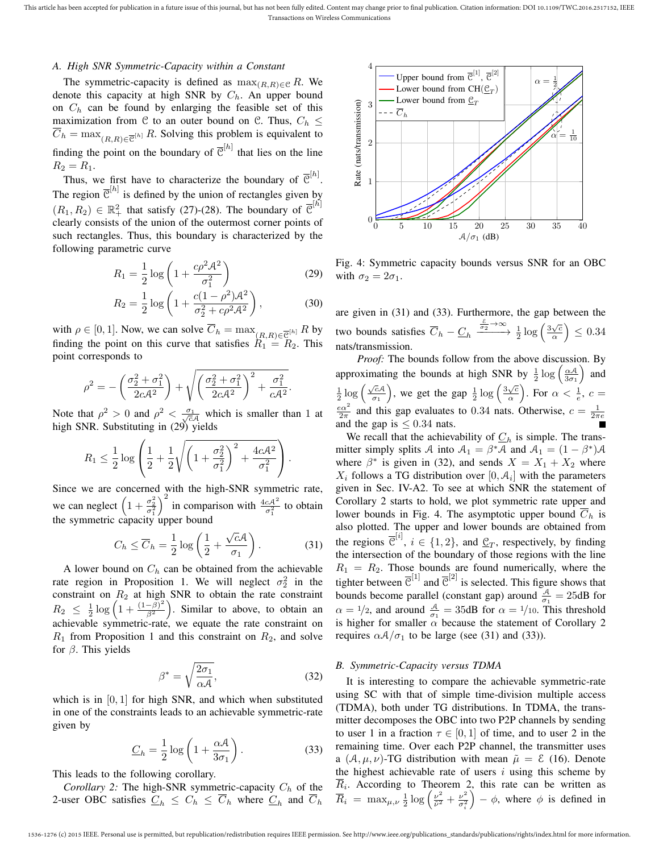#### *A. High SNR Symmetric-Capacity within a Constant*

The symmetric-capacity is defined as  $\max_{(R,R)\in\mathcal{C}} R$ . We denote this capacity at high SNR by  $C_h$ . An upper bound on  $C_h$  can be found by enlarging the feasible set of this maximization from C to an outer bound on C. Thus,  $C_h \leq$  $C_h = \max_{(R,R) \in \overline{\mathcal{C}}^{[h]}} R$ . Solving this problem is equivalent to finding the point on the boundary of  $\overline{C}^{[h]}$  that lies on the line  $R_2 = R_1.$ 

Thus, we first have to characterize the boundary of  $\overline{C}^{[h]}$ . The region  $\overline{\mathcal{C}}^{[h]}$  is defined by the union of rectangles given by  $(R_1, R_2) \in \mathbb{R}_+^2$  that satisfy (27)-(28). The boundary of  $\overline{\mathcal{C}}^{[h]}$ clearly consists of the union of the outermost corner points of such rectangles. Thus, this boundary is characterized by the following parametric curve

$$
R_1 = \frac{1}{2}\log\left(1 + \frac{c\rho^2 A^2}{\sigma_1^2}\right) \tag{29}
$$

$$
R_2 = \frac{1}{2} \log \left( 1 + \frac{c(1 - \rho^2) \mathcal{A}^2}{\sigma_2^2 + c\rho^2 \mathcal{A}^2} \right),\tag{30}
$$

with  $\rho \in [0, 1]$ . Now, we can solve  $\overline{C}_h = \max_{(R, R) \in \overline{\mathfrak{C}}^{[h]}} R$  by finding the point on this curve that satisfies  $R_1 = R_2$ . This point corresponds to

$$
\rho^{2} = -\left(\frac{\sigma_{2}^{2} + \sigma_{1}^{2}}{2cA^{2}}\right) + \sqrt{\left(\frac{\sigma_{2}^{2} + \sigma_{1}^{2}}{2cA^{2}}\right)^{2} + \frac{\sigma_{1}^{2}}{cA^{2}}}.
$$

Note that  $\rho^2 > 0$  and  $\rho^2 < \frac{\sigma_1}{\sqrt{c}A}$  which is smaller than 1 at high SNR. Substituting in (29) yields

$$
R_1 \leq \frac{1}{2} \log \left( \frac{1}{2} + \frac{1}{2} \sqrt{\left( 1 + \frac{\sigma_2^2}{\sigma_1^2} \right)^2 + \frac{4c\mathcal{A}^2}{\sigma_1^2}} \right).
$$

Since we are concerned with the high-SNR symmetric rate, we can neglect  $\left(1 + \frac{\sigma_2^2}{\sigma_1^2}\right)$  $\int_0^2$  in comparison with  $\frac{4c\mathcal{A}^2}{\sigma_1^2}$  to obtain the symmetric capacity upper bound

$$
C_h \le \overline{C}_h = \frac{1}{2} \log \left( \frac{1}{2} + \frac{\sqrt{c} \mathcal{A}}{\sigma_1} \right). \tag{31}
$$

A lower bound on  $C_h$  can be obtained from the achievable rate region in Proposition 1. We will neglect  $\sigma_2^2$  in the constraint on  $R_2$  at high SNR to obtain the rate constraint  $R_2 \leq \frac{1}{2} \log \left( 1 + \frac{(1-\beta)^2}{\beta^2} \right)$  $\left(\frac{-\beta}{\beta^2}\right)$ . Similar to above, to obtain an achievable symmetric-rate, we equate the rate constraint on  $R_1$  from Proposition 1 and this constraint on  $R_2$ , and solve for  $\beta$ . This yields

$$
\beta^* = \sqrt{\frac{2\sigma_1}{\alpha A}},\tag{32}
$$

which is in  $[0, 1]$  for high SNR, and which when substituted in one of the constraints leads to an achievable symmetric-rate given by

$$
\underline{C}_h = \frac{1}{2} \log \left( 1 + \frac{\alpha \mathcal{A}}{3\sigma_1} \right). \tag{33}
$$

This leads to the following corollary.

*Corollary 2:* The high-SNR symmetric-capacity  $C_h$  of the 2-user OBC satisfies  $\underline{C}_h \leq C_h \leq \overline{C}_h$  where  $\underline{C}_h$  and  $\overline{C}_h$ 



Fig. 4: Symmetric capacity bounds versus SNR for an OBC with  $\sigma_2 = 2\sigma_1$ .

are given in (31) and (33). Furthermore, the gap between the two bounds satisfies  $\overline{C}_h - \underline{C}_h \xrightarrow{\frac{\varepsilon}{\sigma_2} \to \infty} \frac{1}{2} \log \left( \frac{3\sqrt{c}}{\alpha} \right)$  $\left(\frac{\sqrt{c}}{\alpha}\right) \leq 0.34$ nats/transmission.

*Proof:* The bounds follow from the above discussion. By approximating the bounds at high SNR by  $\frac{1}{2} \log \left( \frac{\alpha A}{3 \sigma_1} \right)$  and  $rac{1}{2} \log \left( \frac{\sqrt{c} \mathcal{A}}{\sigma_1} \right)$  $\left(\frac{\sqrt{c}A}{\sigma_1}\right)$ , we get the gap  $\frac{1}{2} \log \left(\frac{3\sqrt{c}}{\alpha}\right)$  $\frac{\sqrt{c}}{\alpha}$ ). For  $\alpha < \frac{1}{e}$ ,  $c =$  $\frac{e\alpha^2}{2\pi}$  and this gap evaluates to 0.34 nats. Otherwise,  $c = \frac{1}{2\pi e}$ and the gap is  $\leq 0.34$  nats.

We recall that the achievability of  $\underline{C}_h$  is simple. The transmitter simply splits A into  $A_1 = \beta^* A$  and  $A_1 = (1 - \beta^*) A$ where  $\beta^*$  is given in (32), and sends  $X = X_1 + X_2$  where  $X_i$  follows a TG distribution over  $[0, A_i]$  with the parameters given in Sec. IV-A2. To see at which SNR the statement of Corollary 2 starts to hold, we plot symmetric rate upper and lower bounds in Fig. 4. The asymptotic upper bound  $C_h$  is also plotted. The upper and lower bounds are obtained from the regions  $\overline{\mathcal{C}}^{[i]}$ ,  $i \in \{1,2\}$ , and  $\underline{\mathcal{C}}_T$ , respectively, by finding the intersection of the boundary of those regions with the line  $R_1 = R_2$ . Those bounds are found numerically, where the tighter between  $\overline{\mathcal{C}}^{[1]}$  and  $\overline{\mathcal{C}}^{[2]}$  is selected. This figure shows that bounds become parallel (constant gap) around  $\frac{A}{\sigma_1} = 25dB$  for  $\alpha = 1/2$ , and around  $\frac{A}{\sigma_1} = 35$ dB for  $\alpha = 1/10$ . This threshold is higher for smaller  $\alpha$  because the statement of Corollary 2 requires  $\alpha$ *A*/ $\sigma$ <sub>1</sub> to be large (see (31) and (33)).

#### *B. Symmetric-Capacity versus TDMA*

It is interesting to compare the achievable symmetric-rate using SC with that of simple time-division multiple access (TDMA), both under TG distributions. In TDMA, the transmitter decomposes the OBC into two P2P channels by sending to user 1 in a fraction  $\tau \in [0, 1]$  of time, and to user 2 in the remaining time. Over each P2P channel, the transmitter uses a  $(A, \mu, \nu)$ -TG distribution with mean  $\tilde{\mu} = \mathcal{E}$  (16). Denote the highest achievable rate of users  $i$  using this scheme by  $R_i$ . According to Theorem 2, this rate can be written as  $\overline{R}_i = \max_{\mu,\nu} \frac{1}{2} \log \left( \frac{\nu^2}{\tilde{\nu}^2} \right)$  $\frac{\nu^2}{\tilde{\nu}^2} + \frac{\nu^2}{\sigma_i^2}$  $\overline{\sigma_i^2}$  $\phi$ , where  $\phi$  is defined in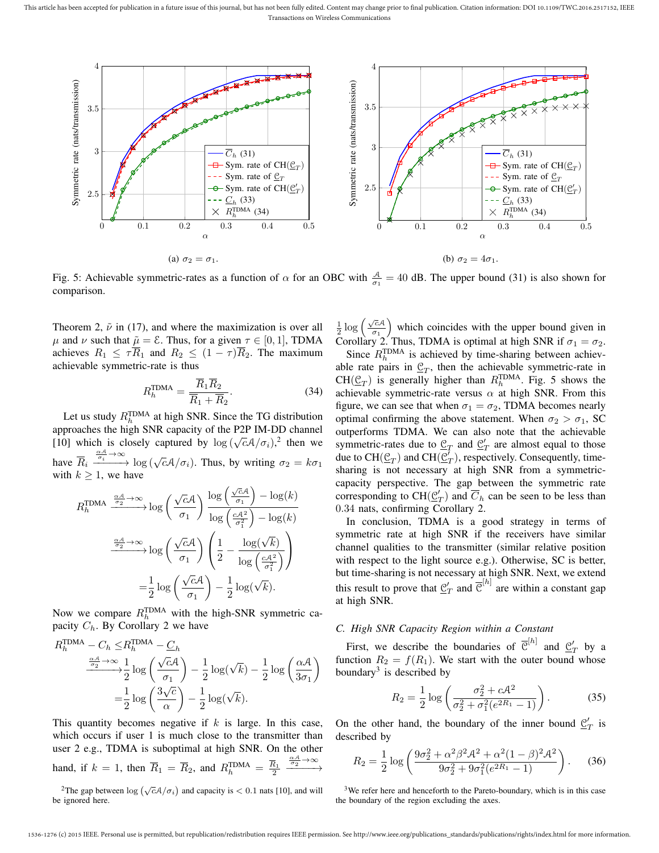This article has been accepted for publication in a future issue of this journal, but has not been fully edited. Content may change prior to final publication. Citation information: DOI 10.1109/TWC.2016.2517152, IEEE Transactions on Wireless Communications



Fig. 5: Achievable symmetric-rates as a function of  $\alpha$  for an OBC with  $\frac{A}{\sigma_1} = 40$  dB. The upper bound (31) is also shown for comparison.

Theorem 2,  $\tilde{\nu}$  in (17), and where the maximization is over all  $\mu$  and  $\nu$  such that  $\tilde{\mu} = \mathcal{E}$ . Thus, for a given  $\tau \in [0, 1]$ , TDMA achieves  $R_1 \leq \tau \overline{R}_1$  and  $R_2 \leq (1 - \tau) \overline{R}_2$ . The maximum achievable symmetric-rate is thus

$$
R_h^{\text{TDMA}} = \frac{\overline{R}_1 \overline{R}_2}{\overline{R}_1 + \overline{R}_2}.
$$
 (34)

Let us study  $R_h^{\text{TDMA}}$  at high SNR. Since the TG distribution approaches the high SNR capacity of the P2P IM-DD channel approaches the high SINK capacity of the P2P IM-DD channel<br>[10] which is closely captured by  $log(\sqrt{c}A/\sigma_i)^2$ , then we have  $\overline{R}_i \xrightarrow{\frac{\alpha A}{\sigma_i} \to \infty} \log(\sqrt{c} \mathcal{A}/\sigma_i)$ . Thus, by writing  $\sigma_2 = k \sigma_1$ with  $k \geq 1$ , we have

$$
R_h^{\text{TDMA}} \xrightarrow{\frac{\alpha A}{\sigma_2} \to \infty} \log \left( \frac{\sqrt{c}A}{\sigma_1} \right) \frac{\log \left( \frac{\sqrt{c}A}{\sigma_1} \right) - \log(k)}{\log \left( \frac{cA^2}{\sigma_1^2} \right) - \log(k)}
$$

$$
\xrightarrow{\frac{\alpha A}{\sigma_2} \to \infty} \log \left( \frac{\sqrt{c}A}{\sigma_1} \right) \left( \frac{1}{2} - \frac{\log(\sqrt{k})}{\log \left( \frac{cA^2}{\sigma_1^2} \right)} \right)
$$

$$
= \frac{1}{2} \log \left( \frac{\sqrt{c}A}{\sigma_1} \right) - \frac{1}{2} \log(\sqrt{k}).
$$

Now we compare  $R_h^{\text{TDMA}}$  with the high-SNR symmetric capacity  $C_h$ . By Corollary 2 we have

$$
R_h^{\text{TDMA}} - C_h \le R_h^{\text{TDMA}} - \underline{C}_h
$$

$$
\xrightarrow{\frac{\alpha A}{\sigma_2} \to \infty} \frac{1}{2} \log \left( \frac{\sqrt{c}A}{\sigma_1} \right) - \frac{1}{2} \log(\sqrt{k}) - \frac{1}{2} \log \left( \frac{\alpha A}{3\sigma_1} \right)
$$

$$
= \frac{1}{2} \log \left( \frac{3\sqrt{c}}{\alpha} \right) - \frac{1}{2} \log(\sqrt{k}).
$$

This quantity becomes negative if  $k$  is large. In this case, which occurs if user 1 is much close to the transmitter than user 2 e.g., TDMA is suboptimal at high SNR. On the other hand, if  $k = 1$ , then  $\overline{R}_1 = \overline{R}_2$ , and  $R_h^{\text{TDMA}} = \frac{R_1}{2}$  $\xrightarrow[\sigma_2]{\alpha A} \rightarrow \infty$ 

<sup>2</sup>The gap between  $\log (\sqrt{c}A/\sigma_i)$  and capacity is  $< 0.1$  nats [10], and will be ignored here.

 $rac{1}{2} \log \left( \frac{\sqrt{c} \mathcal{A}}{\sigma_1} \right)$  $\left(\frac{\sqrt{c}A}{\sigma_1}\right)$  which coincides with the upper bound given in Corollary 2. Thus, TDMA is optimal at high SNR if  $\sigma_1 = \sigma_2$ .

Since  $R_h^{\text{TDMA}}$  is achieved by time-sharing between achievable rate pairs in  $\underline{\mathcal{C}}_T$ , then the achievable symmetric-rate in CH( $\mathfrak{C}_T$ ) is generally higher than  $R_h^{\text{TDMA}}$ . Fig. 5 shows the achievable symmetric-rate versus  $\alpha$  at high SNR. From this figure, we can see that when  $\sigma_1 = \sigma_2$ , TDMA becomes nearly optimal confirming the above statement. When  $\sigma_2 > \sigma_1$ , SC outperforms TDMA. We can also note that the achievable symmetric-rates due to  $\underline{\mathcal{C}}_T$  and  $\underline{\mathcal{C}}_T'$  are almost equal to those due to CH( $\underline{\mathfrak{C}}_T$ ) and CH( $\underline{\mathfrak{C}}_T^j$ ), respectively. Consequently, timesharing is not necessary at high SNR from a symmetriccapacity perspective. The gap between the symmetric rate corresponding to CH( $\underline{\mathcal{C}}'_T$ ) and  $\overline{C}_h$  can be seen to be less than 0.34 nats, confirming Corollary 2.

In conclusion, TDMA is a good strategy in terms of symmetric rate at high SNR if the receivers have similar channel qualities to the transmitter (similar relative position with respect to the light source e.g.). Otherwise, SC is better, but time-sharing is not necessary at high SNR. Next, we extend this result to prove that  $\underline{\mathcal{C}}'_T$  and  $\overline{\mathcal{C}}^{[h]}$  are within a constant gap at high SNR.

# *C. High SNR Capacity Region within a Constant*

First, we describe the boundaries of  $\overline{\mathcal{C}}^{[h]}$  and  $\underline{\mathcal{C}}'_T$  by a function  $R_2 = f(R_1)$ . We start with the outer bound whose boundary<sup>3</sup> is described by

$$
R_2 = \frac{1}{2} \log \left( \frac{\sigma_2^2 + cA^2}{\sigma_2^2 + \sigma_1^2 (e^{2R_1} - 1)} \right).
$$
 (35)

On the other hand, the boundary of the inner bound  $\underline{\mathcal{C}}'_T$  is described by

$$
R_2 = \frac{1}{2} \log \left( \frac{9\sigma_2^2 + \alpha^2 \beta^2 \mathcal{A}^2 + \alpha^2 (1 - \beta)^2 \mathcal{A}^2}{9\sigma_2^2 + 9\sigma_1^2 (e^{2R_1} - 1)} \right). \tag{36}
$$

<sup>3</sup>We refer here and henceforth to the Pareto-boundary, which is in this case the boundary of the region excluding the axes.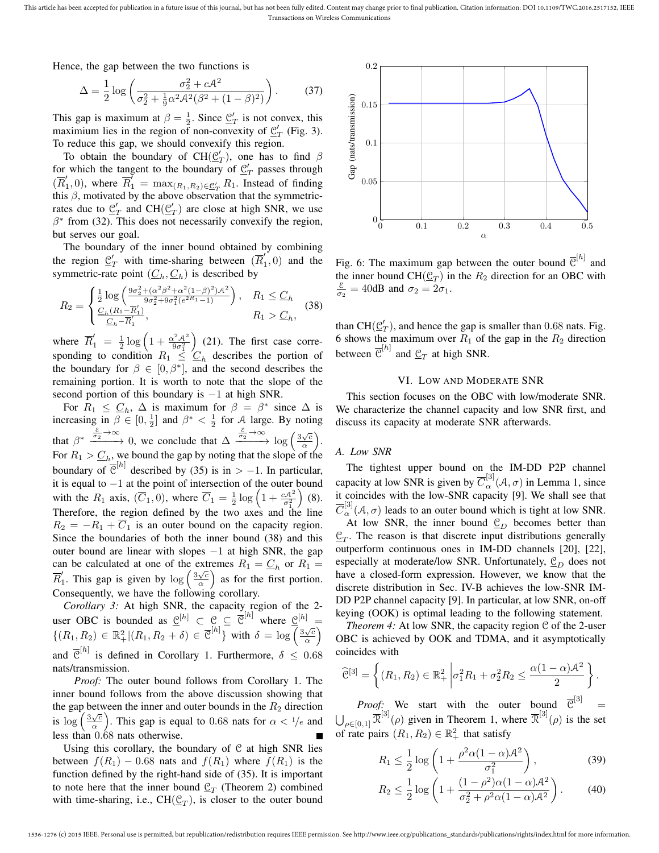Hence, the gap between the two functions is

$$
\Delta = \frac{1}{2} \log \left( \frac{\sigma_2^2 + cA^2}{\sigma_2^2 + \frac{1}{9} \alpha^2 A^2 (\beta^2 + (1 - \beta)^2)} \right).
$$
 (37)

This gap is maximum at  $\beta = \frac{1}{2}$ . Since  $\underline{\mathcal{C}}'_T$  is not convex, this maximium lies in the region of non-convexity of  $\underline{\mathcal{C}}_T$  (Fig. 3). To reduce this gap, we should convexify this region.

To obtain the boundary of CH( $\underline{\mathcal{C}}'_T$ ), one has to find  $\beta$ for which the tangent to the boundary of  $\underline{\mathcal{C}}_T$  passes through  $(\overline{R}'_1)$  $I_1$ , 0), where  $\overline{R}_1^{\overline{Y}} = \max_{(R_1, R_2) \in \mathcal{Q}_T} R_1$ . Instead of finding this  $\beta$ , motivated by the above observation that the symmetricrates due to  $\underline{\mathcal{C}}'_T$  and  $CH(\underline{\mathcal{C}}'_T)$  are close at high SNR, we use  $\beta^*$  from (32). This does not necessarily convexify the region, but serves our goal.

The boundary of the inner bound obtained by combining the region  $\underline{\mathcal{C}}'_T$  with time-sharing between  $(\overline{R}'_1)$  $(1, 0)$  and the symmetric-rate point  $(\underline{C}_h, \underline{C}_h)$  is described by

$$
R_2 = \begin{cases} \frac{1}{2} \log \left( \frac{9\sigma_2^2 + (\alpha^2 \beta^2 + \alpha^2 (1 - \beta)^2) \mathcal{A}^2}{9\sigma_2^2 + 9\sigma_1^2 (e^{2R_1} - 1)} \right), & R_1 \leq C_h\\ \frac{C_h (R_1 - R_1')}{C_h - R_1'}, & R_1 > C_h, \end{cases}
$$
(38)

where  $\overline{R}'_1 = \frac{1}{2} \log \left( 1 + \frac{\alpha^2 A^2}{9 \sigma_1^2} \right)$  $(21)$ . The first case corresponding to condition  $R_1 \leq C_h$  describes the portion of the boundary for  $\beta \in [0, \beta^*]$ , and the second describes the remaining portion. It is worth to note that the slope of the second portion of this boundary is  $-1$  at high SNR.

For  $R_1 \leq C_h$ ,  $\Delta$  is maximum for  $\beta = \beta^*$  since  $\Delta$  is increasing in  $\beta \in [0, \frac{1}{2}]$  and  $\beta^* < \frac{1}{2}$  for A large. By noting that  $\beta^* \xrightarrow{\frac{\varepsilon}{\sigma_2} \to \infty} 0$ , we conclude that  $\Delta \xrightarrow{\frac{\varepsilon}{\sigma_2} \to \infty} \log \left( \frac{3\sqrt{c}}{\alpha} \right)$  $\frac{\sqrt{c}}{\alpha}\Big).$ For  $R_1 > \underline{C}_h$ , we bound the gap by noting that the slope of the boundary of  $\overline{\mathcal{C}}^{[h]}$  described by (35) is in > −1. In particular, it is equal to −1 at the point of intersection of the outer bound with the  $R_1$  axis,  $(\overline{C}_1, 0)$ , where  $\overline{C}_1 = \frac{1}{2} \log \left(1 + \frac{cA^2}{\sigma_1^2}\right)$  (8). Therefore, the region defined by the two axes and the line  $R_2 = -R_1 + \overline{C}_1$  is an outer bound on the capacity region. Since the boundaries of both the inner bound (38) and this outer bound are linear with slopes  $-1$  at high SNR, the gap can be calculated at one of the extremes  $R_1 = \underline{C}_h$  or  $R_1 =$  $\overline{R}_{1}'$ <sup>1</sup>. This gap is given by  $\log \left( \frac{3\sqrt{c}}{\alpha} \right)$  $\left(\frac{\sqrt{c}}{\alpha}\right)$  as for the first portion. Consequently, we have the following corollary.

*Corollary 3:* At high SNR, the capacity region of the 2 user OBC is bounded as  $\underline{\mathcal{C}}^{[h]} \subset \underline{\mathcal{C}} \subseteq \overline{\mathcal{C}}^{[h]}$  where  $\underline{\mathcal{C}}^{[h]} =$  $\{(R_1, R_2) \in \mathbb{R}_+^2 | (R_1, R_2 + \delta) \in \overline{\mathcal{C}}^{[h]} \}$  with  $\delta = \log \left( \frac{3\sqrt{e}}{\alpha} \right)$  $\frac{\sqrt{c}}{\alpha}$ and  $\overline{C}^{[h]}$  is defined in Corollary 1. Furthermore,  $\delta \leq 0.68$ nats/transmission.

*Proof:* The outer bound follows from Corollary 1. The inner bound follows from the above discussion showing that the gap between the inner and outer bounds in the  $R_2$  direction is  $\log \left( \frac{3\sqrt{c}}{a} \right)$  $\frac{\sqrt{c}}{\alpha}$ ). This gap is equal to 0.68 nats for  $\alpha < 1/e$  and less than 0.68 nats otherwise.

Using this corollary, the boundary of  $C$  at high SNR lies between  $f(R_1) - 0.68$  nats and  $f(R_1)$  where  $f(R_1)$  is the function defined by the right-hand side of (35). It is important to note here that the inner bound  $\underline{\mathcal{C}}_T$  (Theorem 2) combined with time-sharing, i.e.,  $CH(\underline{\mathcal{C}}_T)$ , is closer to the outer bound



Fig. 6: The maximum gap between the outer bound  $\overline{C}^{[h]}$  and the inner bound  $CH(\underline{\mathcal{C}}_T)$  in the  $R_2$  direction for an OBC with  $\frac{\varepsilon}{\sigma_2} = 40$ dB and  $\sigma_2 = 2\sigma_1$ .

than CH( $C_T$ ), and hence the gap is smaller than 0.68 nats. Fig. 6 shows the maximum over  $R_1$  of the gap in the  $R_2$  direction between  $\overline{\mathcal{C}}^{[h]}$  and  $\underline{\mathcal{C}}_T$  at high SNR.

## VI. LOW AND MODERATE SNR

This section focuses on the OBC with low/moderate SNR. We characterize the channel capacity and low SNR first, and discuss its capacity at moderate SNR afterwards.

## *A. Low SNR*

The tightest upper bound on the IM-DD P2P channel capacity at low SNR is given by  $\overline{C}_{\alpha}^{[3]}(A,\sigma)$  in Lemma 1, since it coincides with the low-SNR capacity [9]. We shall see that  $\overline{C}_{\alpha}^{[3]}(A,\sigma)$  leads to an outer bound which is tight at low SNR. At low SNR, the inner bound  $\underline{\mathcal{C}}_D$  becomes better than  $\underline{\mathcal{C}}_T$ . The reason is that discrete input distributions generally outperform continuous ones in IM-DD channels [20], [22], especially at moderate/low SNR. Unfortunately,  $\underline{\mathcal{C}}_D$  does not have a closed-form expression. However, we know that the discrete distribution in Sec. IV-B achieves the low-SNR IM-DD P2P channel capacity [9]. In particular, at low SNR, on-off keying (OOK) is optimal leading to the following statement.

*Theorem 4:* At low SNR, the capacity region C of the 2-user OBC is achieved by OOK and TDMA, and it asymptotically coincides with

$$
\widehat{\mathcal{C}}^{[3]} = \left\{ (R_1, R_2) \in \mathbb{R}_+^2 \middle| \sigma_1^2 R_1 + \sigma_2^2 R_2 \le \frac{\alpha (1 - \alpha) \mathcal{A}^2}{2} \right\}.
$$

*Proof:* We start with the outer bound  $\overline{C}^{[3]}$ =  $\bigcup_{\rho \in [0,1]} \overline{\mathcal{R}}^{[3]}(\rho)$  given in Theorem 1, where  $\overline{\mathcal{R}}^{[3]}(\rho)$  is the set of rate pairs  $(R_1, R_2) \in \mathbb{R}^2_+$  that satisfy

$$
R_1 \le \frac{1}{2} \log \left( 1 + \frac{\rho^2 \alpha (1 - \alpha) \mathcal{A}^2}{\sigma_1^2} \right),\tag{39}
$$

$$
R_2 \le \frac{1}{2} \log \left( 1 + \frac{(1 - \rho^2)\alpha (1 - \alpha)\mathcal{A}^2}{\sigma_2^2 + \rho^2 \alpha (1 - \alpha)\mathcal{A}^2} \right). \tag{40}
$$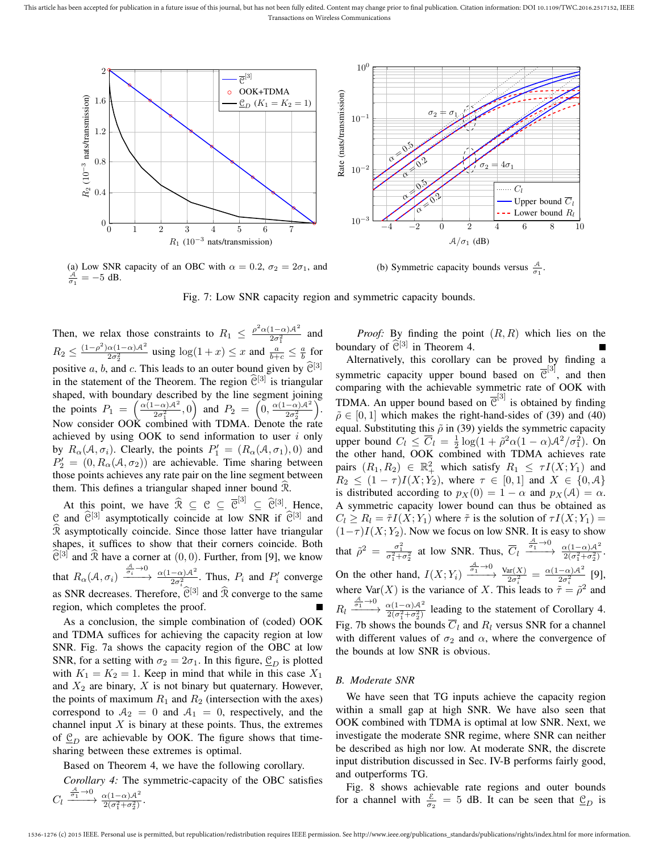This article has been accepted for publication in a future issue of this journal, but has not been fully edited. Content may change prior to final publication. Citation information: DOI 10.1109/TWC.2016.2517152, IEEE Transactions on Wireless Communications



(a) Low SNR capacity of an OBC with  $\alpha = 0.2$ ,  $\sigma_2 = 2\sigma_1$ , and  $\frac{\mathcal{A}}{\sigma_1} = -5$  dB.

(b) Symmetric capacity bounds versus  $\frac{A}{\sigma_1}$ .

Fig. 7: Low SNR capacity region and symmetric capacity bounds.

Then, we relax those constraints to  $R_1 \n\leq \frac{\rho^2 \alpha (1-\alpha) \mathcal{A}^2}{2 \sigma^2}$  $rac{1-\alpha}{2\sigma_1^2}$  and  $R_2 \leq \frac{(1-\rho^2)\alpha(1-\alpha)\mathcal{A}^2}{2\sigma^2}$  using  $\log(1+x) \leq x$  and  $\frac{a}{b+c}$  $rac{\alpha(1-\alpha)A^2}{2\sigma_2^2}$  using  $\log(1+x) \leq x$  and  $\frac{a}{b+c} \leq \frac{a}{b}$  for positive a, b, and c. This leads to an outer bound given by  $\widehat{\mathcal{C}}^{[3]}$ in the statement of the Theorem. The region  $\mathcal{C}^{[3]}$  is triangular shaped, with boundary described by the line segment joining the points  $P_1 = \left(\frac{\alpha(1-\alpha)\mathcal{A}^2}{2\sigma^2}\right)$  $\left( \frac{-\alpha}{2\sigma_1^2}, 0 \right)$  and  $P_2 = \left( \frac{0}{\alpha}, \frac{\alpha(1-\alpha)\mathcal{A}^2}{2\sigma_2^2} \right)$  $2\sigma_2^2$  . Now consider OOK combined with TDMA. Denote the rate achieved by using OOK to send information to user  $i$  only by  $R_{\alpha}(\mathcal{A}, \sigma_i)$ . Clearly, the points  $P'_1 = (R_{\alpha}(\mathcal{A}, \sigma_1), 0)$  and  $P_2' = (0, R_\alpha(\mathcal{A}, \sigma_2))$  are achievable. Time sharing between those points achieves any rate pair on the line segment between them. This defines a triangular shaped inner bound  $\Re$ .

At this point, we have  $\widehat{\mathcal{R}} \subseteq \mathcal{C} \subseteq \overline{\mathcal{C}}^{[3]} \subseteq \widehat{\mathcal{C}}^{[3]}$ . Hence, C and  $\widehat{\mathcal{C}}^{[3]}$  asymptotically coincide at low SNR if  $\widehat{\mathcal{C}}^{[3]}$  and  $R$  asymptotically coincide. Since those latter have triangular shapes, it suffices to show that their corners coincide. Both  $\widetilde{\mathcal{C}}^{[3]}$  and  $\widehat{\mathcal{R}}$  have a corner at  $(0, 0)$ . Further, from [9], we know that  $R_{\alpha}(\mathcal{A}, \sigma_i) \xrightarrow{\frac{\mathcal{A}}{\sigma_i} \to 0} \frac{\alpha(1-\alpha)\mathcal{A}^2}{2\sigma_i^2}$ . Thus,  $P_i$  and  $P'_i$  converge as SNR decreases. Therefore,  $\widehat{\mathcal{C}}^{[3]}$  and  $\widehat{\mathcal{R}}$  converge to the same region, which completes the proof.

As a conclusion, the simple combination of (coded) OOK and TDMA suffices for achieving the capacity region at low SNR. Fig. 7a shows the capacity region of the OBC at low SNR, for a setting with  $\sigma_2 = 2\sigma_1$ . In this figure,  $\underline{\mathcal{C}}_D$  is plotted with  $K_1 = K_2 = 1$ . Keep in mind that while in this case  $X_1$ and  $X_2$  are binary,  $X$  is not binary but quaternary. However, the points of maximum  $R_1$  and  $R_2$  (intersection with the axes) correspond to  $A_2 = 0$  and  $A_1 = 0$ , respectively, and the channel input  $X$  is binary at these points. Thus, the extremes of  $\underline{\mathcal{C}}_D$  are achievable by OOK. The figure shows that timesharing between these extremes is optimal.

Based on Theorem 4, we have the following corollary.

*Corollary 4:* The symmetric-capacity of the OBC satisfies  $C_l \xrightarrow{\frac{A}{\sigma_1} \to 0} \frac{\alpha(1-\alpha) \mathcal{A}^2}{2(\sigma_1^2 + \sigma_2^2)}.$ 

*Proof:* By finding the point  $(R, R)$  which lies on the boundary of  $\widehat{\mathcal{C}}^{[3]}$  in Theorem 4.

Alternatively, this corollary can be proved by finding a symmetric capacity upper bound based on  $\overline{C}^{[3]}$ , and then comparing with the achievable symmetric rate of OOK with TDMA. An upper bound based on  $\overline{C}^{[3]}$  is obtained by finding  $\tilde{\rho} \in [0, 1]$  which makes the right-hand-sides of (39) and (40) equal. Substituting this  $\tilde{\rho}$  in (39) yields the symmetric capacity upper bound  $C_l \leq \overline{C}_l = \frac{1}{2} \log(1 + \tilde{\rho}^2 \alpha (1 - \alpha) \mathcal{A}^2 / \sigma_1^2)$ . On the other hand, OOK combined with TDMA achieves rate pairs  $(R_1, R_2) \in \mathbb{R}_+^2$  which satisfy  $R_1 \leq \tau I(X; Y_1)$  and  $R_2 \le (1 - \tau)I(X; Y_2)$ , where  $\tau \in [0, 1]$  and  $X \in \{0, A\}$ is distributed according to  $p_X(0) = 1 - \alpha$  and  $p_X(\mathcal{A}) = \alpha$ . A symmetric capacity lower bound can thus be obtained as  $C_l \ge R_l = \tilde{\tau} I(X; Y_1)$  where  $\tilde{\tau}$  is the solution of  $\tau I(X; Y_1) =$  $(1-\tau)I(X; Y_2)$ . Now we focus on low SNR. It is easy to show that  $\tilde{\rho}^2 = \frac{\sigma_1^2}{\sigma_1^2 + \sigma_2^2}$  at low SNR. Thus,  $\overline{C}_l \xrightarrow{\frac{A}{\sigma_1} \to 0} \frac{\alpha(1-\alpha)\mathcal{A}^2}{2(\sigma_1^2 + \sigma_2^2)}$ . On the other hand,  $I(X;Y_i) \xrightarrow[\sigma_1]{\frac{A}{\sigma_1} \to 0} \frac{\text{Var}(X)}{2\sigma_i^2} = \frac{\alpha(1-\alpha)A^2}{2\sigma_i^2}$  $\frac{(-\alpha)}{2\sigma_i^2}$  [9], where Var $(X)$  is the variance of X. This leads to  $\tilde{\tau} = \tilde{\rho}^2$  and  $R_l \xrightarrow{\frac{A}{\sigma_1} \to 0} \frac{\alpha(1-\alpha)A^2}{2(\sigma_1^2 + \sigma_2^2)}$  leading to the statement of Corollary 4. Fig. 7b shows the bounds  $C_l$  and  $R_l$  versus SNR for a channel with different values of  $\sigma_2$  and  $\alpha$ , where the convergence of the bounds at low SNR is obvious.

#### *B. Moderate SNR*

We have seen that TG inputs achieve the capacity region within a small gap at high SNR. We have also seen that OOK combined with TDMA is optimal at low SNR. Next, we investigate the moderate SNR regime, where SNR can neither be described as high nor low. At moderate SNR, the discrete input distribution discussed in Sec. IV-B performs fairly good, and outperforms TG.

Fig. 8 shows achievable rate regions and outer bounds for a channel with  $\frac{\varepsilon}{\sigma_2} = 5$  dB. It can be seen that  $\underline{\mathcal{C}}_D$  is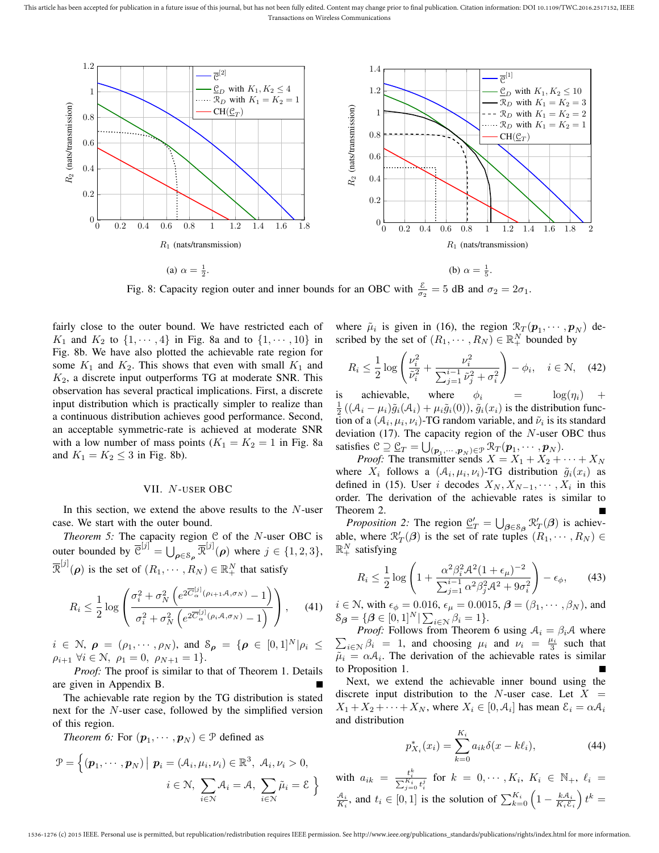This article has been accepted for publication in a future issue of this journal, but has not been fully edited. Content may change prior to final publication. Citation information: DOI 10.1109/TWC.2016.2517152, IEEE Transactions on Wireless Communications



Fig. 8: Capacity region outer and inner bounds for an OBC with  $\frac{\varepsilon}{\sigma_2} = 5$  dB and  $\sigma_2 = 2\sigma_1$ .

fairly close to the outer bound. We have restricted each of  $K_1$  and  $K_2$  to  $\{1, \dots, 4\}$  in Fig. 8a and to  $\{1, \dots, 10\}$  in Fig. 8b. We have also plotted the achievable rate region for some  $K_1$  and  $K_2$ . This shows that even with small  $K_1$  and  $K_2$ , a discrete input outperforms TG at moderate SNR. This observation has several practical implications. First, a discrete input distribution which is practically simpler to realize than a continuous distribution achieves good performance. Second, an acceptable symmetric-rate is achieved at moderate SNR with a low number of mass points  $(K_1 = K_2 = 1$  in Fig. 8a and  $K_1 = K_2 \leq 3$  in Fig. 8b).

## VII. N-USER OBC

In this section, we extend the above results to the  $N$ -user case. We start with the outer bound.

*Theorem 5:* The capacity region  $C$  of the *N*-user OBC is outer bounded by  $\overline{\mathcal{C}}^{[j]} = \bigcup_{\rho \in \mathcal{S}_{\rho}} \overline{\mathcal{R}}^{[j]}(\rho)$  where  $j \in \{1, 2, 3\},\$  $\overline{\mathcal{R}}^{[j]}(\boldsymbol{\rho})$  is the set of  $(R_1, \cdots, R_N) \in \mathbb{R}_+^N$  that satisfy

$$
R_i \le \frac{1}{2} \log \left( \frac{\sigma_i^2 + \sigma_N^2 \left( e^{2 \overline{C}_{\alpha}^{[j]}(\rho_{i+1}, \mathcal{A}, \sigma_N)} - 1 \right)}{\sigma_i^2 + \sigma_N^2 \left( e^{2 \overline{C}_{\alpha}^{[j]}(\rho_i, \mathcal{A}, \sigma_N)} - 1 \right)} \right), \quad (41)
$$

 $i \in \mathcal{N}, \ \boldsymbol{\rho} = (\rho_1, \cdots, \rho_N), \text{ and } \mathcal{S}_{\boldsymbol{\rho}} = \{\boldsymbol{\rho} \in [0,1]^N | \rho_i \leq \rho_j \}$  $\rho_{i+1}$   $\forall i \in \mathcal{N}, \ \rho_1 = 0, \ \rho_{N+1} = 1$ .

*Proof:* The proof is similar to that of Theorem 1. Details are given in Appendix B.

The achievable rate region by the TG distribution is stated next for the N-user case, followed by the simplified version of this region.

*Theorem 6:* For  $(\boldsymbol{p}_1, \cdots, \boldsymbol{p}_N) \in \mathcal{P}$  defined as

$$
\mathcal{P} = \left\{ (\boldsymbol{p}_1, \cdots, \boldsymbol{p}_N) \mid \boldsymbol{p}_i = (\mathcal{A}_i, \mu_i, \nu_i) \in \mathbb{R}^3, \ \mathcal{A}_i, \nu_i > 0, \right\}
$$

$$
i \in \mathcal{N}, \ \sum_{i \in \mathcal{N}} \mathcal{A}_i = \mathcal{A}, \ \sum_{i \in \mathcal{N}} \tilde{\mu}_i = \mathcal{E} \ \right\}
$$

where  $\tilde{\mu}_i$  is given in (16), the region  $\mathcal{R}_T(\boldsymbol{p}_1, \dots, \boldsymbol{p}_N)$  described by the set of  $(R_1, \dots, R_N) \in \mathbb{R}^N_+$  bounded by

$$
R_i \le \frac{1}{2} \log \left( \frac{\nu_i^2}{\tilde{\nu}_i^2} + \frac{\nu_i^2}{\sum_{j=1}^{i-1} \tilde{\nu}_j^2 + \sigma_i^2} \right) - \phi_i, \quad i \in \mathbb{N}, \quad (42)
$$

is achievable, where  $\phi_i = \log(\eta_i) +$  $\frac{1}{2}((\mathcal{A}_i - \mu_i)\tilde{g}_i(\mathcal{A}_i) + \mu_i\tilde{g}_i(0)), \tilde{g}_i(x_i)$  is the distribution function of a  $(\mathcal{A}_i, \mu_i, \nu_i)$ -TG random variable, and  $\tilde{\nu}_i$  is its standard deviation  $(17)$ . The capacity region of the N-user OBC thus satisfies  $\mathcal{C} \supseteq \underbrace{\mathcal{C}}_T = \bigcup_{(\boldsymbol{p}_1,\cdots,\boldsymbol{p}_N)\in\mathcal{P}} \mathcal{R}_T(\boldsymbol{p}_1,\cdots,\boldsymbol{p}_N).$ 

*Proof:* The transmitter sends  $X = X_1 + X_2 + \cdots + X_N$ where  $X_i$  follows a  $(\mathcal{A}_i, \mu_i, \nu_i)$ -TG distribution  $\tilde{g}_i(x_i)$  as defined in (15). User i decodes  $X_N, X_{N-1}, \dots, X_i$  in this order. The derivation of the achievable rates is similar to Theorem 2.

*Proposition 2:* The region  $\underline{\mathcal{C}}'_T = \bigcup_{\beta \in \mathcal{S}_{\beta}} \mathcal{R}'_T(\beta)$  is achievable, where  $\mathcal{R}'_T(\boldsymbol{\beta})$  is the set of rate tuples  $(R_1, \dots, R_N) \in$  $\mathbb{R}^N_+$  satisfying

$$
R_i \le \frac{1}{2} \log \left( 1 + \frac{\alpha^2 \beta_i^2 \mathcal{A}^2 (1 + \epsilon_\mu)^{-2}}{\sum_{j=1}^{i-1} \alpha^2 \beta_j^2 \mathcal{A}^2 + 9\sigma_i^2} \right) - \epsilon_\phi, \qquad (43)
$$

 $i \in \mathcal{N}$ , with  $\epsilon_{\phi} = 0.016$ ,  $\epsilon_{\mu} = 0.0015$ ,  $\beta = (\beta_1, \cdots, \beta_N)$ , and  $\mathcal{S}_{\boldsymbol{\beta}} = \{ \boldsymbol{\beta} \in [0,1]^N | \sum_{i \in \mathcal{N}} \beta_i = 1 \}.$ 

 $\sum_{i \in \mathcal{N}} \beta_i = 1$ , and choosing  $\mu_i$  and  $\nu_i = \frac{\mu_i}{3}$  such that *Proof:* Follows from Theorem 6 using  $A_i = \beta_i A$  where  $\tilde{\mu}_i = \alpha A_i$ . The derivation of the achievable rates is similar to Proposition 1.

Next, we extend the achievable inner bound using the discrete input distribution to the N-user case. Let  $X =$  $X_1 + X_2 + \cdots + X_N$ , where  $X_i \in [0, \mathcal{A}_i]$  has mean  $\mathcal{E}_i = \alpha \mathcal{A}_i$ and distribution

$$
p_{X_i}^*(x_i) = \sum_{k=0}^{K_i} a_{ik} \delta(x - k\ell_i), \tag{44}
$$

with  $a_{ik} = \frac{t_i^k}{\sum_{j=0}^{K_i} t_i^j}$  for  $k = 0, \cdots, K_i, K_i \in \mathbb{N}_+, \ell_i =$  $\frac{\mathcal{A}_i}{K_i}$ , and  $t_i \in [0,1]$  is the solution of  $\sum_{k=0}^{K_i} \left(1 - \frac{k \mathcal{A}_i}{K_i \mathcal{E}_i}\right) t^k =$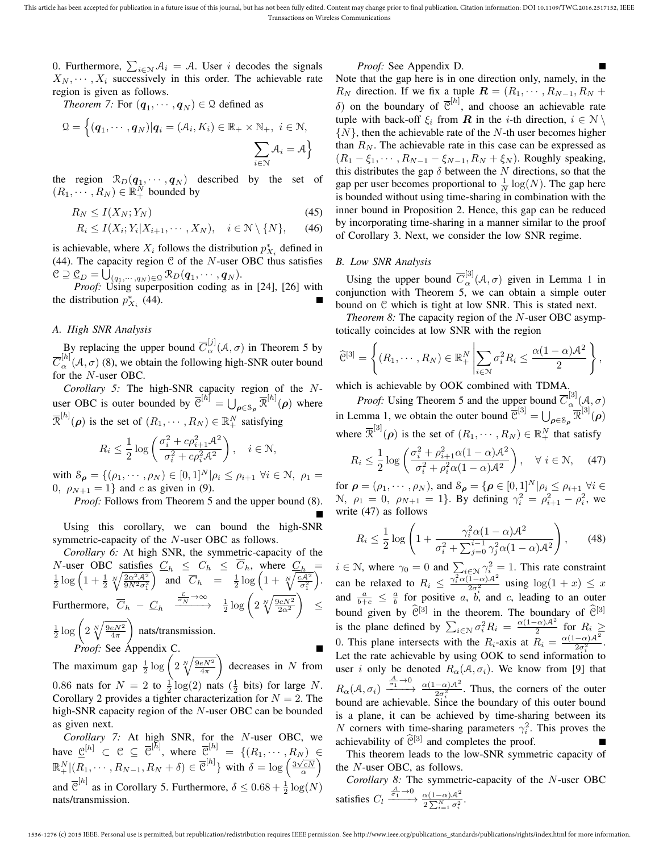0. Furthermore,  $\sum_{i \in \mathcal{N}} A_i = A$ . User *i* decodes the signals  $X_N, \dots, X_i$  successively in this order. The achievable rate region is given as follows.

*Theorem 7:* For  $(q_1, \dots, q_N) \in \mathcal{Q}$  defined as

$$
Q = \left\{ (\boldsymbol{q}_1, \cdots, \boldsymbol{q}_N) | \boldsymbol{q}_i = (\mathcal{A}_i, K_i) \in \mathbb{R}_+ \times \mathbb{N}_+, i \in \mathcal{N}, \sum_{i \in \mathcal{N}} \mathcal{A}_i = \mathcal{A} \right\}
$$

the region  $\mathcal{R}_D(\boldsymbol{q}_1, \cdots, \boldsymbol{q}_N)$  described by the set of  $(R_1, \dots, R_N) \in \mathbb{R}^N_+$  bounded by

$$
R_N \le I(X_N; Y_N) \tag{45}
$$

$$
R_i \le I(X_i; Y_i | X_{i+1}, \cdots, X_N), \quad i \in \mathcal{N} \setminus \{N\}, \tag{46}
$$

is achievable, where  $X_i$  follows the distribution  $p_{X_i}^*$  defined in (44). The capacity region  $C$  of the *N*-user OBC thus satisfies  $\mathfrak{C} \supseteq \underline{\mathfrak{C}}_D = \bigcup_{(q_1, \cdots, q_N) \in \mathfrak{Q}} \mathfrak{R}_D({\bm{q}}_1, \cdots, {\bm{q}}_N).$ 

*Proof:* Using superposition coding as in [24], [26] with the distribution  $p_{X_i}^*$  (44).

## *A. High SNR Analysis*

By replacing the upper bound  $\overline{C}_{\alpha}^{[j]}(A,\sigma)$  in Theorem 5 by  $\overline{C}_{\alpha}^{[h]}(\mathcal{A}, \sigma)$  (8), we obtain the following high-SNR outer bound for the N-user OBC.

*Corollary 5:* The high-SNR capacity region of the Nuser OBC is outer bounded by  $\overline{\mathcal{C}}^{[h]} = \bigcup_{\rho \in \mathcal{S}_{\rho}} \overline{\mathcal{R}}^{[h]}(\rho)$  where  $\overline{\mathcal{R}}^{[h]}(\boldsymbol{\rho})$  is the set of  $(R_1, \dots, R_N) \in \mathbb{R}_+^N$  satisfying

$$
R_i \le \frac{1}{2} \log \left( \frac{\sigma_i^2 + c \rho_{i+1}^2 \mathcal{A}^2}{\sigma_i^2 + c \rho_i^2 \mathcal{A}^2} \right), \quad i \in \mathbb{N},
$$

with  $\mathcal{S}_{\rho} = \{(\rho_1, \cdots, \rho_N) \in [0,1]^N | \rho_i \leq \rho_{i+1} \ \forall i \in \mathcal{N}, \ \rho_1 =$ 0,  $\rho_{N+1} = 1$  and c as given in (9).

*Proof:* Follows from Theorem 5 and the upper bound  $(8)$ .

Using this corollary, we can bound the high-SNR symmetric-capacity of the N-user OBC as follows.

*Corollary 6:* At high SNR, the symmetric-capacity of the *N*-user OBC satisfies  $C_h \le C_h \le C_h$ , where  $C_h = \frac{1}{2} \log \left( 1 + \frac{1}{2} \sqrt[N]{\frac{2\alpha^2 A^2}{9N^2 \sigma_1^2}} \right)$  and  $\overline{C}_h = \frac{1}{2} \log \left( 1 + \sqrt[N]{\frac{cA^2}{\sigma_1^2}} \right)$ . and  $\overline{C}_h = \frac{1}{2} \log \left( 1 + \sqrt[N]{\frac{cA^2}{\sigma_1^2}} \right)$  . Furthermore,  $\overline{C}_h$  –  $\underline{C}_h$   $\xrightarrow{\frac{\varepsilon}{\sigma_N} \to \infty}$   $\frac{1}{2} \log \left( 2 \sqrt[N]{\frac{9cN^2}{2\alpha^2}} \right)$  ≤  $\frac{1}{2}\log\bigg(2\sqrt[N]{\frac{9eN^2}{4\pi}}$  nats/transmission. *Proof:* See Appendix C. The maximum gap  $\frac{1}{2} \log \left( 2 \sqrt[N]{\frac{9eN^2}{4\pi}} \right)$  $\Big)$  decreases in N from

0.86 nats for  $N = 2$  to  $\frac{1}{2}$  log(2) nats ( $\frac{1}{2}$  bits) for large N. Corollary 2 provides a tighter characterization for  $N = 2$ . The high-SNR capacity region of the N-user OBC can be bounded as given next.

*Corollary 7:* At high SNR, for the N-user OBC, we have  $\underline{\mathcal{C}}^{[h]} \subset \mathcal{C} \subseteq \overline{\mathcal{C}}^{[h]}$ , where  $\overline{\mathcal{C}}^{[h]} = \{ (R_1, \cdots, R_N) \in$  $\mathbb{R}^N_+ | (R_1, \cdots, R_{N-1}, R_N + \delta) \in \mathbb{C}^{[h]}$  with  $\delta = \log \left( \frac{3\sqrt{cN}}{\alpha} \right)$ and  $\overline{\mathcal{C}}^{[h]}$  as in Corollary 5. Furthermore,  $\delta \leq 0.68 + \frac{1}{2} \log(N)$ nats/transmission.

# *Proof:* See Appendix D.

Note that the gap here is in one direction only, namely, in the  $R_N$  direction. If we fix a tuple  $\mathbf{R} = (R_1, \dots, R_{N-1}, R_N + \dots)$  $\delta$ ) on the boundary of  $\overline{\mathcal{C}}^{[h]}$ , and choose an achievable rate tuple with back-off  $\xi_i$  from  $\mathbf R$  in the *i*-th direction,  $i \in \mathcal N \setminus \mathcal N$  $\{N\}$ , then the achievable rate of the N-th user becomes higher than  $R_N$ . The achievable rate in this case can be expressed as  $(R_1 - \xi_1, \cdots, R_{N-1} - \xi_{N-1}, R_N + \xi_N)$ . Roughly speaking, this distributes the gap  $\delta$  between the N directions, so that the gap per user becomes proportional to  $\frac{1}{N} \log(N)$ . The gap here is bounded without using time-sharing in combination with the inner bound in Proposition 2. Hence, this gap can be reduced by incorporating time-sharing in a manner similar to the proof of Corollary 3. Next, we consider the low SNR regime.

## *B. Low SNR Analysis*

Using the upper bound  $\overline{C}_{\alpha}^{[3]}(\mathcal{A}, \sigma)$  given in Lemma 1 in conjunction with Theorem 5, we can obtain a simple outer bound on C which is tight at low SNR. This is stated next.

*Theorem 8:* The capacity region of the N-user OBC asymptotically coincides at low SNR with the region

$$
\widehat{\mathcal{C}}^{[3]} = \left\{ (R_1, \cdots, R_N) \in \mathbb{R}_+^N \middle| \sum_{i \in \mathcal{N}} \sigma_i^2 R_i \le \frac{\alpha (1 - \alpha) \mathcal{A}^2}{2} \right\},\
$$

which is achievable by OOK combined with TDMA.

*Proof:* Using Theorem 5 and the upper bound  $\overline{C}_{\alpha}^{[3]}(\mathcal{A}, \sigma)$ in Lemma 1, we obtain the outer bound  $\overline{C}^{[3]} = \bigcup_{\rho \in S_{\rho}} \overline{\mathcal{R}}^{[3]}(\rho)$ where  $\overline{\mathcal{R}}^{[3]}(\rho)$  is the set of  $(R_1, \dots, R_N) \in \mathbb{R}_+^N$  that satisfy

$$
R_i \le \frac{1}{2} \log \left( \frac{\sigma_i^2 + \rho_{i+1}^2 \alpha (1 - \alpha) \mathcal{A}^2}{\sigma_i^2 + \rho_i^2 \alpha (1 - \alpha) \mathcal{A}^2} \right), \quad \forall \ i \in \mathbb{N}, \quad (47)
$$

for  $\rho = (\rho_1, \dots, \rho_N)$ , and  $\mathcal{S}_{\rho} = {\rho \in [0, 1]^N | \rho_i \le \rho_{i+1} \; \forall i \in \mathcal{S}}$ N,  $ρ_1 = 0$ ,  $ρ_{N+1} = 1$ . By defining  $γ_i^2 = ρ_{i+1}^2 - ρ_i^2$ , we write (47) as follows

$$
R_i \le \frac{1}{2} \log \left( 1 + \frac{\gamma_i^2 \alpha (1 - \alpha) \mathcal{A}^2}{\sigma_i^2 + \sum_{j=0}^{i-1} \gamma_j^2 \alpha (1 - \alpha) \mathcal{A}^2} \right), \qquad (48)
$$

 $i \in \mathcal{N}$ , where  $\gamma_0 = 0$  and  $\sum_{i \in \mathcal{N}} \gamma_i^2 = 1$ . This rate constraint can be relaxed to  $R_i \n\t\leq \frac{\gamma_i^2 \alpha (1-\alpha)A^2}{2\sigma_i^2}$  using  $\log(1+x) \leq x$ and  $\frac{a}{b+c} \leq \frac{a}{b}$  for positive a, b, and c, leading to an outer bound given by  $\widehat{\mathcal{C}}^{[3]}$  in the theorem. The boundary of  $\widehat{\mathcal{C}}^{[3]}$ is the plane defined by  $\sum_{i \in \mathcal{N}} \sigma_i^2 R_i = \frac{\alpha(1-\alpha)\mathcal{A}^2}{2}$  $\frac{1-\alpha}{2}$  for  $R_i \ge$ 0. This plane intersects with the  $R_i$ -axis at  $R_i = \frac{\alpha(1-\alpha)\mathcal{A}^2}{2\sigma^2}$  $\frac{-\alpha}{2\sigma_i^2}$ . Let the rate achievable by using OOK to send information to user *i* only be denoted  $R_{\alpha}(A, \sigma_i)$ . We know from [9] that  $R_{\alpha}(\mathcal{A}, \sigma_i) \xrightarrow{\frac{\mathcal{A}}{\sigma_1} \to 0} \frac{\alpha(1-\alpha)\mathcal{A}^2}{2\sigma_i^2}$ . Thus, the corners of the outer bound are achievable. Since the boundary of this outer bound is a plane, it can be achieved by time-sharing between its N corners with time-sharing parameters  $\gamma_i^2$ . This proves the achievability of  $\widehat{\mathcal{C}}^{[3]}$  and completes the proof.

This theorem leads to the low-SNR symmetric capacity of the N-user OBC, as follows.

*Corollary 8:* The symmetric-capacity of the N-user OBC satisfies  $C_l \xrightarrow[\sigma_1]{\frac{\mathcal{A}}{\sigma_1} \to 0} \frac{\alpha (1-\alpha)\mathcal{A}^2}{2\sum_{i=1}^N \sigma_i^2}.$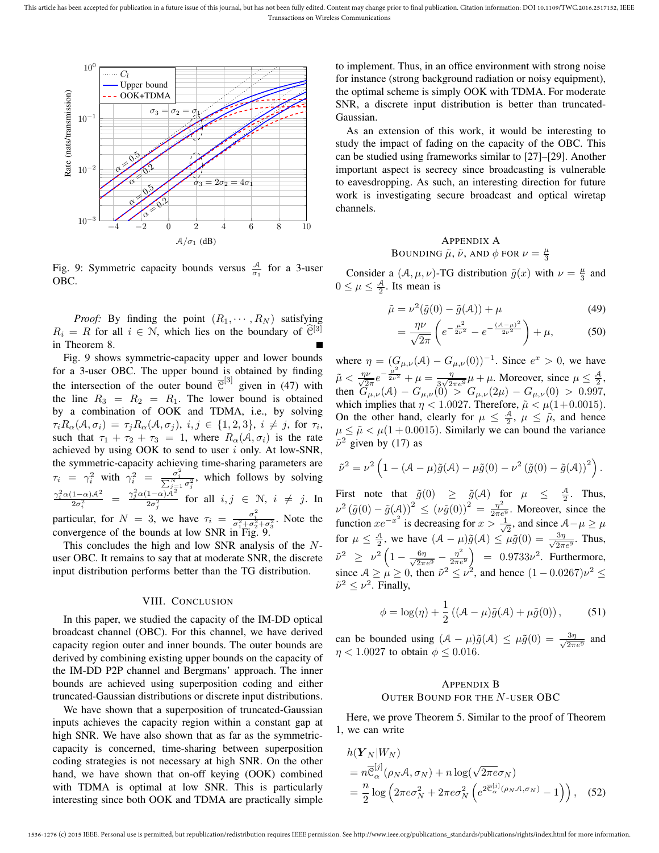

Fig. 9: Symmetric capacity bounds versus  $\frac{A}{\sigma_1}$  for a 3-user OBC.

*Proof:* By finding the point  $(R_1, \dots, R_N)$  satisfying  $R_i = R$  for all  $i \in \mathcal{N}$ , which lies on the boundary of  $\mathcal{C}^{[3]}$ in Theorem 8.

Fig. 9 shows symmetric-capacity upper and lower bounds for a 3-user OBC. The upper bound is obtained by finding the intersection of the outer bound  $\overline{C}^{[3]}$  given in (47) with the line  $R_3 = R_2 = R_1$ . The lower bound is obtained by a combination of OOK and TDMA, i.e., by solving  $\tau_i R_\alpha(\mathcal{A}, \sigma_i) = \tau_j R_\alpha(\mathcal{A}, \sigma_j), i, j \in \{1, 2, 3\}, i \neq j$ , for  $\tau_i$ , such that  $\tau_1 + \tau_2 + \tau_3 = 1$ , where  $R_\alpha(\mathcal{A}, \sigma_i)$  is the rate achieved by using OOK to send to user  $i$  only. At low-SNR, the symmetric-capacity achieving time-sharing parameters are  $\tau_i = \gamma_i^2$  with  $\gamma_i^2 = \frac{\sigma_i^2}{\sum_{j=1}^N \sigma_j^2}$ , which follows by solving  $\frac{\gamma_i^2\alpha(1-\alpha)\mathcal{A}^2}{2\sigma_i^2}$  =  $\frac{\gamma_j^2\alpha(1-\alpha)\mathcal{A}^2}{2\sigma_j^2}$  $\frac{1-\alpha}{2\sigma_j^2}$  for all  $i, j \in \mathbb{N}, i \neq j$ . In particular, for  $N = 3$ , we have  $\tau_i = \frac{\sigma_i^2}{\sigma_1^2 + \sigma_2^2 + \sigma_3^2}$ . Note the 2 convergence of the bounds at low SNR in Fig. 9.

This concludes the high and low SNR analysis of the Nuser OBC. It remains to say that at moderate SNR, the discrete input distribution performs better than the TG distribution.

#### VIII. CONCLUSION

In this paper, we studied the capacity of the IM-DD optical broadcast channel (OBC). For this channel, we have derived capacity region outer and inner bounds. The outer bounds are derived by combining existing upper bounds on the capacity of the IM-DD P2P channel and Bergmans' approach. The inner bounds are achieved using superposition coding and either truncated-Gaussian distributions or discrete input distributions.

We have shown that a superposition of truncated-Gaussian inputs achieves the capacity region within a constant gap at high SNR. We have also shown that as far as the symmetriccapacity is concerned, time-sharing between superposition coding strategies is not necessary at high SNR. On the other hand, we have shown that on-off keying (OOK) combined with TDMA is optimal at low SNR. This is particularly interesting since both OOK and TDMA are practically simple to implement. Thus, in an office environment with strong noise for instance (strong background radiation or noisy equipment), the optimal scheme is simply OOK with TDMA. For moderate SNR, a discrete input distribution is better than truncated-Gaussian.

As an extension of this work, it would be interesting to study the impact of fading on the capacity of the OBC. This can be studied using frameworks similar to [27]–[29]. Another important aspect is secrecy since broadcasting is vulnerable to eavesdropping. As such, an interesting direction for future work is investigating secure broadcast and optical wiretap channels.

# APPENDIX A BOUNDING  $\tilde{\mu}$ ,  $\tilde{\nu}$ , and  $\phi$  for  $\nu = \frac{\mu}{3}$

Consider a  $(A, \mu, \nu)$ -TG distribution  $\tilde{g}(x)$  with  $\nu = \frac{\mu}{3}$  and  $0 \leq \mu \leq \frac{\mathcal{A}}{2}$ . Its mean is

$$
\tilde{\mu} = \nu^2(\tilde{g}(0) - \tilde{g}(\mathcal{A})) + \mu \tag{49}
$$

$$
= \frac{\eta \nu}{\sqrt{2\pi}} \left( e^{-\frac{\mu^2}{2\nu^2}} - e^{-\frac{(\mathcal{A} - \mu)^2}{2\nu^2}} \right) + \mu, \tag{50}
$$

where  $\eta = (G_{\mu,\nu}(\mathcal{A}) - G_{\mu,\nu}(0))^{-1}$ . Since  $e^x > 0$ , we have  $\tilde{\mu} < \frac{\eta \nu}{\sqrt{2}}$  $\frac{\mu}{2\pi}e^{-\frac{\mu^2}{2\nu^2}} + \mu = \frac{\eta}{3\sqrt{2}}$  $\frac{\eta}{3\sqrt{2\pi e^9}}\mu + \mu$ . Moreover, since  $\mu \leq \frac{\mathcal{A}}{2}$ , then  $G_{\mu,\nu}(\mathcal{A}) - G_{\mu,\nu}(0) > G_{\mu,\nu}(2\mu) - G_{\mu,\nu}(0) > 0.997$ , which implies that  $\eta$  < 1.0027. Therefore,  $\tilde{\mu}$  <  $\mu$ (1+0.0015). On the other hand, clearly for  $\mu \leq \frac{A}{2}$ ,  $\mu \leq \tilde{\mu}$ , and hence  $\mu \leq \tilde{\mu} < \mu(1 + 0.0015)$ . Similarly we can bound the variance  $\tilde{\nu}^2$  given by (17) as

$$
\tilde{\nu}^2 = \nu^2 \left( 1 - (\mathcal{A} - \mu) \tilde{g}(\mathcal{A}) - \mu \tilde{g}(0) - \nu^2 \left( \tilde{g}(0) - \tilde{g}(\mathcal{A}) \right)^2 \right).
$$

First note that  $\tilde{g}(0) \geq \tilde{g}(A)$  for  $\mu \leq \frac{A}{2}$ . Thus,  $\nu^2 (\tilde{g}(0) - \tilde{g}(A))^2 \le (\nu \tilde{g}(0))^2 = \frac{\eta^2}{2\pi e^9}$ . Moreover, since the function  $xe^{-x^2}$  is decreasing for  $x > \frac{1}{\sqrt{2}}$  $\frac{1}{2}$ , and since  $\mathcal{A} - \mu \geq \mu$ for  $\mu \leq \frac{A}{2}$ , we have  $(A - \mu)\tilde{g}(A) \leq \mu\tilde{g}(0) = \frac{3\eta}{\sqrt{2\pi}}$  $rac{3\eta}{2\pi e^9}$ . Thus,  $\tilde{\nu}^2 \geq \nu^2 \left(1 - \frac{6\eta}{\sqrt{2\pi e^9}} - \frac{\eta^2}{2\pi e} \right)$  $\left(\frac{\eta^2}{2\pi e^9}\right)$  = 0.9733 $\nu^2$ . Furthermore, since  $A \ge \mu \ge 0$ , then  $\tilde{\nu}^2 \le \nu^2$ , and hence  $(1 - 0.0267)\nu^2 \le$  $\tilde{\nu}^2 \leq \nu^2$ . Finally,

$$
\phi = \log(\eta) + \frac{1}{2} \left( (\mathcal{A} - \mu) \tilde{g}(\mathcal{A}) + \mu \tilde{g}(0) \right), \tag{51}
$$

can be bounded using  $(A - \mu)\tilde{g}(A) \leq \mu\tilde{g}(0) = \frac{3\eta}{\sqrt{2\pi}}$  $rac{3\eta}{2\pi e^9}$  and  $\eta$  < 1.0027 to obtain  $\phi \leq 0.016$ .

# APPENDIX B OUTER BOUND FOR THE  $N$ -USER OBC

Here, we prove Theorem 5. Similar to the proof of Theorem 1, we can write

$$
h(\mathbf{Y}_N|W_N)
$$
  
=  $n\overline{e}_{\alpha}^{[j]}(\rho_N A, \sigma_N) + n \log(\sqrt{2\pi e} \sigma_N)$   
=  $\frac{n}{2} \log \left(2\pi e \sigma_N^2 + 2\pi e \sigma_N^2 \left(e^{2\overline{e}_{\alpha}^{[j]}(\rho_N A, \sigma_N)} - 1\right)\right)$ , (52)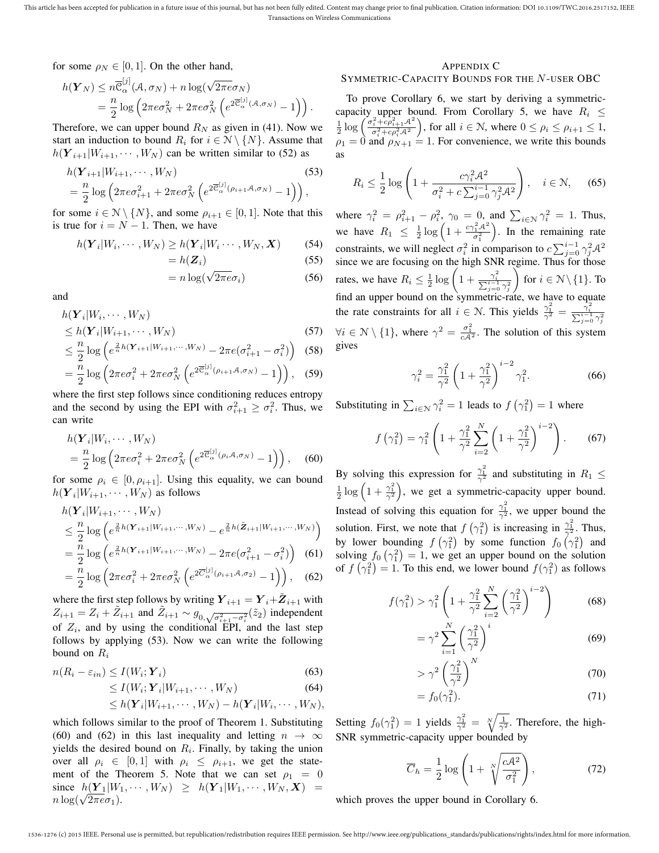for some  $\rho_N \in [0, 1]$ . On the other hand,

$$
h(\boldsymbol{Y}_N) \leq n \overline{\mathcal{C}}_{\alpha}^{[j]}(\mathcal{A}, \sigma_N) + n \log(\sqrt{2\pi e} \sigma_N)
$$
  
= 
$$
\frac{n}{2} \log \left(2\pi e \sigma_N^2 + 2\pi e \sigma_N^2 \left(e^{2\overline{\mathcal{C}}_{\alpha}^{[j]}(\mathcal{A}, \sigma_N)} - 1\right)\right).
$$

Therefore, we can upper bound  $R_N$  as given in (41). Now we start an induction to bound  $R_i$  for  $i \in \mathcal{N} \setminus \{N\}$ . Assume that  $h(Y_{i+1}|W_{i+1}, \cdots, W_N)$  can be written similar to (52) as

$$
h(\mathbf{Y}_{i+1}|W_{i+1},\cdots,W_N)
$$
\n
$$
=\frac{n}{2}\log\left(2\pi e\sigma_{i+1}^2+2\pi e\sigma_N^2\left(e^{2\overline{C}_{\alpha}^{[j]}(\rho_{i+1}\mathcal{A},\sigma_N)}-1\right)\right),
$$
\n(53)

for some  $i \in \mathcal{N} \setminus \{N\}$ , and some  $\rho_{i+1} \in [0,1]$ . Note that this is true for  $i = N - 1$ . Then, we have

$$
h(\boldsymbol{Y}_i|W_i,\cdots,W_N) \ge h(\boldsymbol{Y}_i|W_i\cdots,W_N,\boldsymbol{X})\tag{54}
$$

$$
=h(\boldsymbol{Z}_i) \tag{55}
$$

$$
= n \log(\sqrt{2\pi e} \sigma_i) \tag{56}
$$

and

$$
h(\mathbf{Y}_i|W_i,\cdots,W_N) \le h(\mathbf{Y}_i|W_{i+1},\cdots,W_N)
$$
\n(57)

$$
\leq \frac{n}{2} \log \left( e^{\frac{2}{n} h(\mathbf{Y}_{i+1}|W_{i+1},\cdots,W_N)} - 2\pi e(\sigma_{i+1}^2 - \sigma_i^2) \right) (58)
$$

$$
= \frac{n}{2} \log \left( 2\pi e \sigma_i^2 + 2\pi e \sigma_N^2 \left( e^{2\overline{C}_\alpha^{[j]}(\rho_{i+1}\mathcal{A}, \sigma_N)} - 1 \right) \right), \quad (59)
$$

where the first step follows since conditioning reduces entropy and the second by using the EPI with  $\sigma_{i+1}^2 \ge \sigma_i^2$ . Thus, we can write

$$
h(\mathbf{Y}_i|W_i,\cdots,W_N) = \frac{n}{2}\log\left(2\pi e\sigma_i^2 + 2\pi e\sigma_N^2\left(e^{2\overline{\mathbb{C}}_{\alpha}^{[j]}(\rho_i,\mathcal{A},\sigma_N)} - 1\right)\right),\quad(60)
$$

for some  $\rho_i \in [0, \rho_{i+1}]$ . Using this equality, we can bound  $h(\boldsymbol{Y}_i|W_{i+1},\cdots,W_N)$  as follows

$$
h(\mathbf{Y}_{i}|W_{i+1},\cdots,W_{N})
$$
  
\n
$$
\leq \frac{n}{2}\log\left(e^{\frac{2}{n}h(\mathbf{Y}_{i+1}|W_{i+1},\cdots,W_{N})}-e^{\frac{2}{n}h(\tilde{\mathbf{Z}}_{i+1}|W_{i+1},\cdots,W_{N})}\right)
$$
  
\n
$$
=\frac{n}{2}\log\left(e^{\frac{2}{n}h(\mathbf{Y}_{i+1}|W_{i+1},\cdots,W_{N})}-2\pi e(\sigma_{i+1}^{2}-\sigma_{i}^{2})\right)
$$
 (61)

$$
= \frac{n}{2} \log \left( e^{\frac{2}{n}h(Y_{i+1}|W_{i+1},\cdots,W_N)} - 2\pi e(\sigma_{i+1}^2 - \sigma_i^2) \right) \tag{61}
$$

$$
= \frac{n}{2} \log \left( 2\pi e \sigma_1^2 + 2\pi e \sigma_2^2 \left( e^{2\overline{C}_\alpha^{[1]}(\rho_{i+1}A,\sigma_2)} - 1 \right) \right) \tag{62}
$$

$$
= \frac{n}{2} \log \left( 2\pi e \sigma_i^2 + 2\pi e \sigma_N^2 \left( e^{2\overline{C}_{\alpha}^{[j]}(\rho_{i+1}\mathcal{A}, \sigma_2)} - 1 \right) \right), \quad (62)
$$

where the first step follows by writing  $\boldsymbol{Y}_{i+1} = \boldsymbol{Y}_{i} + \tilde{\boldsymbol{Z}}_{i+1}$  with  $Z_{i+1} = Z_i + \tilde{Z}_{i+1}$  and  $\tilde{Z}_{i+1} \sim g_{0,\sqrt{\sigma_{i+1}^2 - \sigma_i^2}}(\tilde{z}_2)$  independent of  $Z_i$ , and by using the conditional EPI, and the last step follows by applying (53). Now we can write the following bound on  $R_i$ 

$$
n(R_i - \varepsilon_{in}) \le I(W_i; \boldsymbol{Y}_i)
$$
\n<sup>(63)</sup>

$$
\leq I(W_i; \boldsymbol{Y}_i | W_{i+1}, \cdots, W_N) \tag{64}
$$

$$
\leq h(\boldsymbol{Y}_i|W_{i+1},\cdots,W_N)-h(\boldsymbol{Y}_i|W_i,\cdots,W_N),
$$

which follows similar to the proof of Theorem 1. Substituting (60) and (62) in this last inequality and letting  $n \to \infty$ yields the desired bound on  $R_i$ . Finally, by taking the union over all  $\rho_i \in [0,1]$  with  $\rho_i \leq \rho_{i+1}$ , we get the statement of the Theorem 5. Note that we can set  $\rho_1 = 0$ since  $h(Y_1|W_1,\cdots,W_N) \geq h(Y_1|W_1,\cdots,W_N, X) =$ since  $n(\mathbf{Y}_1|W_1)$ <br> $n \log(\sqrt{2\pi e \sigma_1})$ .

#### APPENDIX C

#### SYMMETRIC-CAPACITY BOUNDS FOR THE N-USER OBC

To prove Corollary 6, we start by deriving a symmetriccapacity upper bound. From Corollary 5, we have  $R_i \leq$  $\frac{1}{2} \log \left( \frac{\sigma_i^2 + c \rho_{i+1}^2 A^2}{\sigma_i^2 + c \rho_i^2 A^2} \right)$  $\sigma_i^2 + c \rho_i^2 \mathcal{A}^2$ ), for all  $i \in \mathcal{N}$ , where  $0 \leq \rho_i \leq \rho_{i+1} \leq 1$ ,  $\rho_1 = 0$  and  $\rho_{N+1} = 1$ . For convenience, we write this bounds as

$$
R_i \le \frac{1}{2} \log \left( 1 + \frac{c \gamma_i^2 \mathcal{A}^2}{\sigma_i^2 + c \sum_{j=0}^{i-1} \gamma_j^2 \mathcal{A}^2} \right), \quad i \in \mathbb{N}, \quad (65)
$$

where  $\gamma_i^2 = \rho_{i+1}^2 - \rho_i^2$ ,  $\gamma_0 = 0$ , and  $\sum_{i \in \mathcal{N}} \gamma_i^2 = 1$ . Thus, we have  $R_1 \leq \frac{1}{2} \log \left( 1 + \frac{c \gamma_1^2 A^2}{\sigma_1^2} \right)$  . In the remaining rate constraints, we will neglect  $\sigma_i^2$  in comparison to  $c \sum_{j=0}^{i-1} \gamma_j^2 \mathcal{A}^2$ since we are focusing on the high SNR regime. Thus for those rates, we have  $R_i \leq \frac{1}{2} \log \left( 1 + \frac{\gamma_i^2}{\sum_{j=0}^{i-1} \gamma_j^2} \right)$ for  $i \in \mathcal{N} \setminus \{1\}$ . To find an upper bound on the symmetric-rate, we have to equate the rate constraints for all  $i \in \mathbb{N}$ . This yields  $\frac{\gamma_1^2}{\gamma^2} = \frac{\gamma_i^2}{\sum_{j=0}^{i-1} \gamma_j^2}$  $\forall i \in \mathcal{N} \setminus \{1\}$ , where  $\gamma^2 = \frac{\sigma_1^2}{cA^2}$ . The solution of this system gives

$$
\gamma_i^2 = \frac{\gamma_1^2}{\gamma^2} \left( 1 + \frac{\gamma_1^2}{\gamma^2} \right)^{i-2} \gamma_1^2.
$$
 (66)

Substituting in  $\sum_{i \in \mathcal{N}} \gamma_i^2 = 1$  leads to  $f(\gamma_1^2) = 1$  where

$$
f\left(\gamma_1^2\right) = \gamma_1^2 \left(1 + \frac{\gamma_1^2}{\gamma^2} \sum_{i=2}^N \left(1 + \frac{\gamma_1^2}{\gamma^2}\right)^{i-2}\right). \tag{67}
$$

By solving this expression for  $\frac{\gamma_1^2}{\gamma_2^2}$  and substituting in  $R_1 \leq$  $\frac{1}{2} \log \left(1 + \frac{\gamma_1^2}{\gamma^2}\right)$ , we get a symmetric-capacity upper bound. Instead of solving this equation for  $\frac{\gamma_1^2}{\gamma_2^2}$ , we upper bound the solution. First, we note that  $f(\gamma_1^2)$  is increasing in  $\frac{\gamma_1^2}{\gamma_2^2}$ . Thus, by lower bounding  $f(\gamma_1^2)$  by some function  $f_0(\gamma_1^2)$  and solving  $f_0(\gamma_1^2) = 1$ , we get an upper bound on the solution of  $f(\gamma_1^2) = 1$ . To this end, we lower bound  $f(\gamma_1^2)$  as follows

$$
f(\gamma_1^2) > \gamma_1^2 \left( 1 + \frac{\gamma_1^2}{\gamma^2} \sum_{i=2}^N \left( \frac{\gamma_1^2}{\gamma^2} \right)^{i-2} \right)
$$
 (68)

$$
= \gamma^2 \sum_{i=1}^{N} \left(\frac{\gamma_1^2}{\gamma^2}\right)^i \tag{69}
$$

$$
> \gamma^2 \left(\frac{\gamma_1^2}{\gamma^2}\right)^N \tag{70}
$$

$$
= f_0(\gamma_1^2). \tag{71}
$$

Setting  $f_0(\gamma_1^2) = 1$  yields  $\frac{\gamma_1^2}{\gamma_1^2} = \sqrt[N]{\frac{1}{\gamma^2}}$ . Therefore, the high-SNR symmetric-capacity upper bounded by

$$
\overline{C}_h = \frac{1}{2} \log \left( 1 + \sqrt[N]{\frac{cA^2}{\sigma_1^2}} \right),\tag{72}
$$

which proves the upper bound in Corollary 6.

<sup>1536-1276 (</sup>c) 2015 IEEE. Personal use is permitted, but republication/redistribution requires IEEE permission. See http://www.ieee.org/publications\_standards/publications/rights/index.html for more information.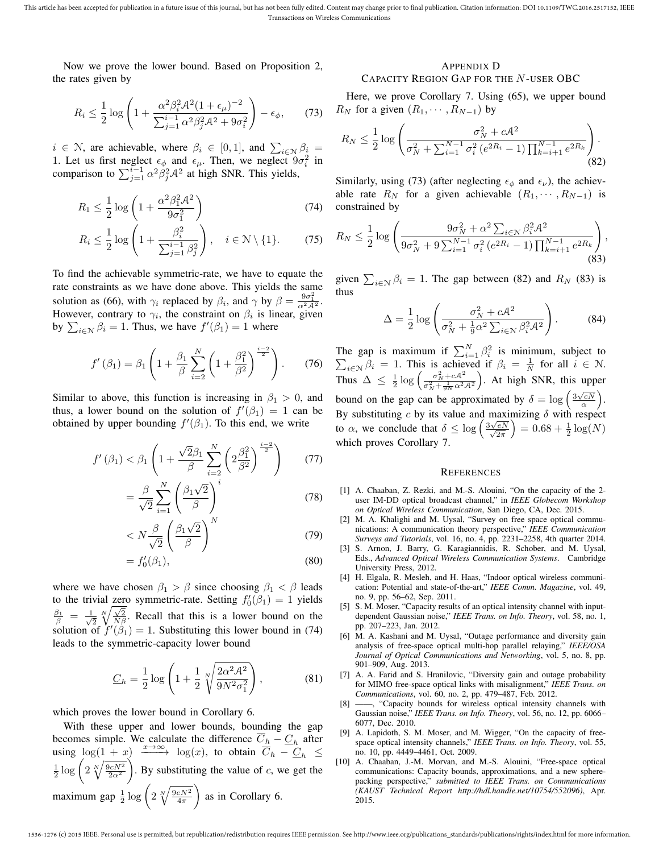Now we prove the lower bound. Based on Proposition 2, the rates given by

$$
R_i \le \frac{1}{2} \log \left( 1 + \frac{\alpha^2 \beta_i^2 \mathcal{A}^2 (1 + \epsilon_\mu)^{-2}}{\sum_{j=1}^{i-1} \alpha^2 \beta_j^2 \mathcal{A}^2 + 9\sigma_i^2} \right) - \epsilon_\phi, \tag{73}
$$

 $i \in \mathcal{N}$ , are achievable, where  $\beta_i \in [0,1]$ , and  $\sum_{i \in \mathcal{N}} \beta_i =$ 1. Let us first neglect  $\epsilon_{\phi}$  and  $\epsilon_{\mu}$ . Then, we neglect  $9\sigma_i^2$  in comparison to  $\sum_{j=1}^{\tilde{i}-1} \alpha^2 \beta_j^2 \mathcal{A}^2$  at high SNR. This yields,

$$
R_1 \le \frac{1}{2} \log \left( 1 + \frac{\alpha^2 \beta_1^2 \mathcal{A}^2}{9\sigma_1^2} \right) \tag{74}
$$

$$
R_i \le \frac{1}{2} \log \left( 1 + \frac{\beta_i^2}{\sum_{j=1}^{i-1} \beta_j^2} \right), \quad i \in \mathcal{N} \setminus \{1\}. \tag{75}
$$

To find the achievable symmetric-rate, we have to equate the rate constraints as we have done above. This yields the same solution as (66), with  $\gamma_i$  replaced by  $\beta_i$ , and  $\gamma$  by  $\beta = \frac{9\sigma_1^2}{\alpha^2 A^2}$ . However, contrary to  $\gamma_i$ , the constraint on  $\beta_i$  is linear, given by  $\sum_{i \in \mathcal{N}} \beta_i = 1$ . Thus, we have  $f'(\beta_1) = 1$  where

$$
f'(\beta_1) = \beta_1 \left( 1 + \frac{\beta_1}{\beta} \sum_{i=2}^N \left( 1 + \frac{\beta_1^2}{\beta^2} \right)^{\frac{i-2}{2}} \right). \tag{76}
$$

Similar to above, this function is increasing in  $\beta_1 > 0$ , and thus, a lower bound on the solution of  $f'(\beta_1) = 1$  can be obtained by upper bounding  $f'(\beta_1)$ . To this end, we write

$$
f'(\beta_1) < \beta_1 \left( 1 + \frac{\sqrt{2}\beta_1}{\beta} \sum_{i=2}^N \left( 2\frac{\beta_1^2}{\beta^2} \right)^{\frac{i-2}{2}} \right) \tag{77}
$$

$$
= \frac{\beta}{\sqrt{2}} \sum_{i=1}^{N} \left( \frac{\beta_1 \sqrt{2}}{\beta} \right)^i
$$
 (78)

$$
\langle N \frac{\beta}{\sqrt{2}} \left( \frac{\beta_1 \sqrt{2}}{\beta} \right)^N \tag{79}
$$

$$
=f_0'(\beta_1),\tag{80}
$$

where we have chosen  $\beta_1 > \beta$  since choosing  $\beta_1 < \beta$  leads to the trivial zero symmetric-rate. Setting  $f_0'(\beta_1) = 1$  yields  $\frac{\beta_1}{\beta} = \frac{1}{\sqrt{2}}$  $\frac{1}{2}$   $\sqrt{\frac{\sqrt{2}}{N\beta}}$ . Recall that this is a lower bound on the solution of  $f'(\hat{\beta}_1) = 1$ . Substituting this lower bound in (74) leads to the symmetric-capacity lower bound

$$
\underline{C}_h = \frac{1}{2} \log \left( 1 + \frac{1}{2} \sqrt[N]{\frac{2\alpha^2 \mathcal{A}^2}{9N^2 \sigma_1^2}} \right),\tag{81}
$$

which proves the lower bound in Corollary 6.

With these upper and lower bounds, bounding the gap becomes simple. We calculate the difference  $C_h - C_h$  after using  $\log(1 + x) \xrightarrow{x \to \infty} \log(x)$ , to obtain  $\overline{C}_h - \underline{C}_h \le$  $\frac{1}{2}\log\left(2\sqrt[N]{\frac{9cN^2}{2\alpha^2}}\right)$ ). By substituting the value of  $c$ , we get the maximum gap  $\frac{1}{2} \log \left( 2 \sqrt[N]{\frac{9eN^2}{4\pi}} \right)$ as in Corollary 6.

## APPENDIX D CAPACITY REGION GAP FOR THE N-USER OBC

Here, we prove Corollary 7. Using (65), we upper bound  $R_N$  for a given  $(R_1, \dots, R_{N-1})$  by

$$
R_N \le \frac{1}{2} \log \left( \frac{\sigma_N^2 + cA^2}{\sigma_N^2 + \sum_{i=1}^{N-1} \sigma_i^2 (e^{2R_i} - 1) \prod_{k=i+1}^{N-1} e^{2R_k}} \right).
$$
\n(82)

Similarly, using (73) (after neglecting  $\epsilon_{\phi}$  and  $\epsilon_{\nu}$ ), the achievable rate  $R_N$  for a given achievable  $(R_1, \dots, R_{N-1})$  is constrained by

$$
R_N \le \frac{1}{2} \log \left( \frac{9\sigma_N^2 + \alpha^2 \sum_{i \in N} \beta_i^2 \mathcal{A}^2}{9\sigma_N^2 + 9 \sum_{i=1}^{N-1} \sigma_i^2 (e^{2R_i} - 1) \prod_{k=i+1}^{N-1} e^{2R_k}} \right),\tag{83}
$$

given  $\sum_{i \in \mathcal{N}} \beta_i = 1$ . The gap between (82) and  $R_N$  (83) is thus

$$
\Delta = \frac{1}{2} \log \left( \frac{\sigma_N^2 + c \mathcal{A}^2}{\sigma_N^2 + \frac{1}{9} \alpha^2 \sum_{i \in \mathcal{N}} \beta_i^2 \mathcal{A}^2} \right).
$$
 (84)

The gap is maximum if  $\sum_{i=1}^{N} \beta_i^2$ <br> $\sum_{i \in \mathbb{N}} \beta_i = 1$ . This is achieved if is minimum, subject to  $i \in \mathbb{N}$   $\beta_i = 1$ . This is achieved if  $\beta_i = \frac{1}{N}$  for all  $i \in \mathbb{N}$ . Thus  $\Delta \leq \frac{1}{2} \log \left( \frac{\sigma_N^2 + c \mathcal{A}^2}{\sigma_N^2 + \frac{1}{9N} \alpha^2 \mathcal{A}^2} \right)$ ). At high SNR, this upper bound on the gap can be approximated by  $\delta = \log \left( \frac{3\sqrt{cN}}{\alpha} \right)$ . By substituting c by its value and maximizing  $\delta$  with respect **Ly** substituting c by its value and in  $\frac{N}{\sqrt{eN}}$  $\left(\frac{\overline{eN}}{2\pi}\right) = 0.68 + \frac{1}{2}\log(N)$ which proves Corollary 7.

#### **REFERENCES**

- [1] A. Chaaban, Z. Rezki, and M.-S. Alouini, "On the capacity of the 2user IM-DD optical broadcast channel," in *IEEE Globecom Workshop on Optical Wireless Communication*, San Diego, CA, Dec. 2015.
- [2] M. A. Khalighi and M. Uysal, "Survey on free space optical communications: A communication theory perspective," *IEEE Communication Surveys and Tutorials*, vol. 16, no. 4, pp. 2231–2258, 4th quarter 2014.
- [3] S. Arnon, J. Barry, G. Karagiannidis, R. Schober, and M. Uysal, Eds., *Advanced Optical Wireless Communication Systems*. Cambridge University Press, 2012.
- [4] H. Elgala, R. Mesleh, and H. Haas, "Indoor optical wireless communication: Potential and state-of-the-art," *IEEE Comm. Magazine*, vol. 49, no. 9, pp. 56–62, Sep. 2011.
- [5] S. M. Moser, "Capacity results of an optical intensity channel with inputdependent Gaussian noise," *IEEE Trans. on Info. Theory*, vol. 58, no. 1, pp. 207–223, Jan. 2012.
- [6] M. A. Kashani and M. Uysal, "Outage performance and diversity gain analysis of free-space optical multi-hop parallel relaying," *IEEE/OSA Journal of Optical Communications and Networking*, vol. 5, no. 8, pp. 901–909, Aug. 2013.
- [7] A. A. Farid and S. Hranilovic, "Diversity gain and outage probability for MIMO free-space optical links with misalignment," *IEEE Trans. on Communications*, vol. 60, no. 2, pp. 479–487, Feb. 2012.
- [8] ——, "Capacity bounds for wireless optical intensity channels with Gaussian noise," *IEEE Trans. on Info. Theory*, vol. 56, no. 12, pp. 6066– 6077, Dec. 2010.
- [9] A. Lapidoth, S. M. Moser, and M. Wigger, "On the capacity of freespace optical intensity channels," *IEEE Trans. on Info. Theory*, vol. 55, no. 10, pp. 4449–4461, Oct. 2009.
- [10] A. Chaaban, J.-M. Morvan, and M.-S. Alouini, "Free-space optical communications: Capacity bounds, approximations, and a new spherepacking perspective," *submitted to IEEE Trans. on Communications (KAUST Technical Report http://hdl.handle.net/10754/552096)*, Apr. 2015.